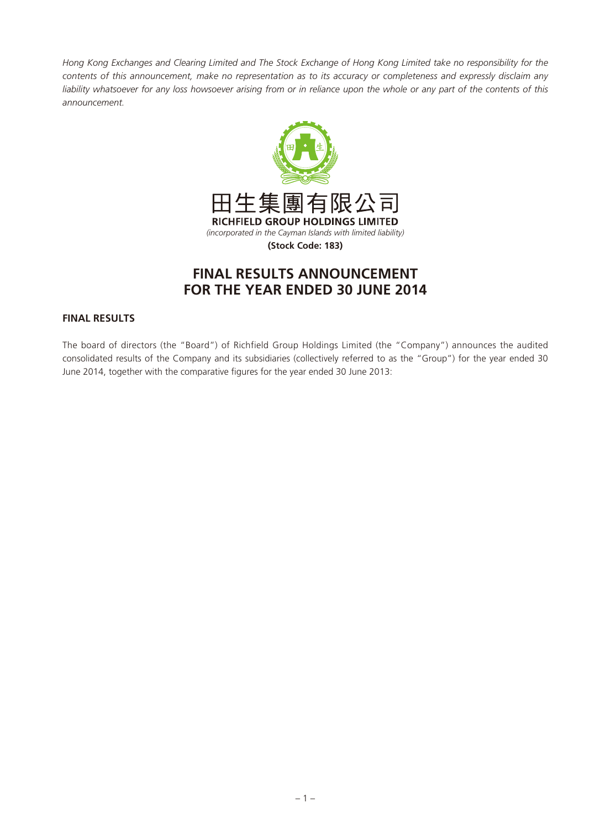*Hong Kong Exchanges and Clearing Limited and The Stock Exchange of Hong Kong Limited take no responsibility for the contents of this announcement, make no representation as to its accuracy or completeness and expressly disclaim any*  liability whatsoever for any loss howsoever arising from or in reliance upon the whole or any part of the contents of this *announcement.*



# **FINAL RESULTS ANNOUNCEMENT FOR THE YEAR ENDED 30 JUNE 2014**

# **FINAL RESULTS**

The board of directors (the "Board") of Richfield Group Holdings Limited (the "Company") announces the audited consolidated results of the Company and its subsidiaries (collectively referred to as the "Group") for the year ended 30 June 2014, together with the comparative figures for the year ended 30 June 2013: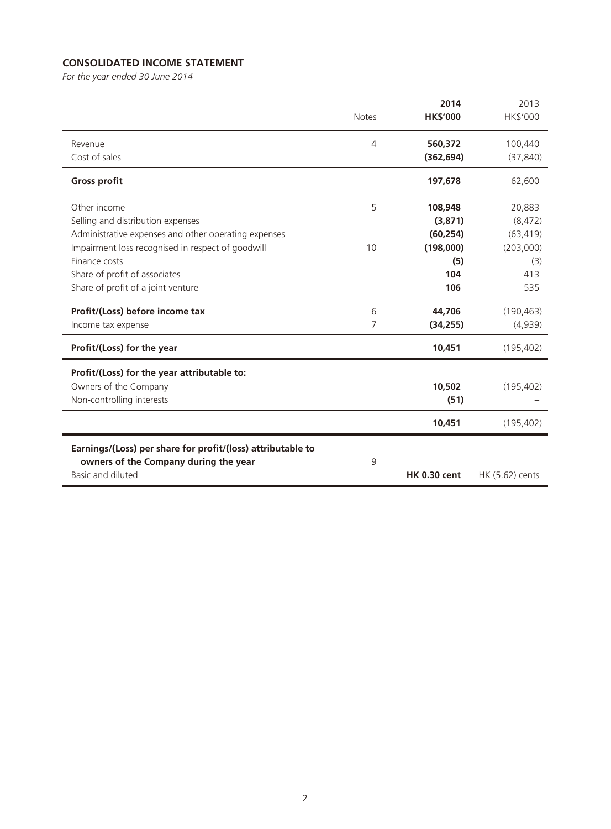# **CONSOLIDATED INCOME STATEMENT**

*For the year ended 30 June 2014*

|                                                             |                | 2014                | 2013            |
|-------------------------------------------------------------|----------------|---------------------|-----------------|
|                                                             | <b>Notes</b>   | <b>HK\$'000</b>     | HK\$'000        |
| Revenue                                                     | $\overline{4}$ | 560,372             | 100,440         |
| Cost of sales                                               |                | (362, 694)          | (37, 840)       |
| <b>Gross profit</b>                                         |                | 197,678             | 62,600          |
| Other income                                                | 5              | 108,948             | 20,883          |
| Selling and distribution expenses                           |                | (3,871)             | (8, 472)        |
| Administrative expenses and other operating expenses        |                | (60, 254)           | (63, 419)       |
| Impairment loss recognised in respect of goodwill           | 10             | (198,000)           | (203,000)       |
| Finance costs                                               |                | (5)                 | (3)             |
| Share of profit of associates                               |                | 104                 | 413             |
| Share of profit of a joint venture                          |                | 106                 | 535             |
| Profit/(Loss) before income tax                             | 6              | 44,706              | (190, 463)      |
| Income tax expense                                          | 7              | (34, 255)           | (4,939)         |
| Profit/(Loss) for the year                                  |                | 10,451              | (195, 402)      |
| Profit/(Loss) for the year attributable to:                 |                |                     |                 |
| Owners of the Company                                       |                | 10,502              | (195, 402)      |
| Non-controlling interests                                   |                | (51)                |                 |
|                                                             |                |                     |                 |
|                                                             |                | 10,451              | (195, 402)      |
| Earnings/(Loss) per share for profit/(loss) attributable to |                |                     |                 |
| owners of the Company during the year                       | 9              |                     |                 |
| Basic and diluted                                           |                | <b>HK 0.30 cent</b> | HK (5.62) cents |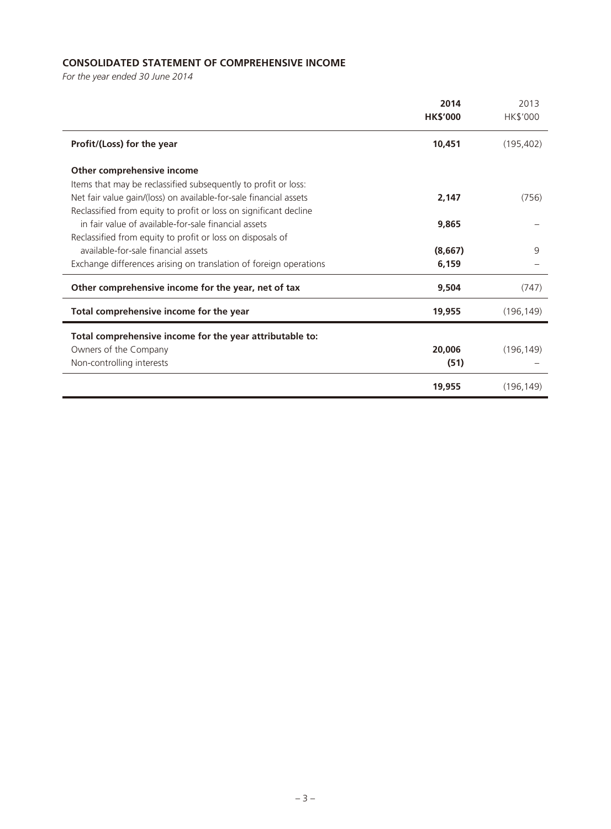# **CONSOLIDATED STATEMENT OF COMPREHENSIVE INCOME**

*For the year ended 30 June 2014*

|                                                                   | 2014<br><b>HK\$'000</b> | 2013<br>HK\$'000 |
|-------------------------------------------------------------------|-------------------------|------------------|
| Profit/(Loss) for the year                                        | 10,451                  | (195, 402)       |
| Other comprehensive income                                        |                         |                  |
| Items that may be reclassified subsequently to profit or loss:    |                         |                  |
| Net fair value gain/(loss) on available-for-sale financial assets | 2,147                   | (756)            |
| Reclassified from equity to profit or loss on significant decline |                         |                  |
| in fair value of available-for-sale financial assets              | 9,865                   |                  |
| Reclassified from equity to profit or loss on disposals of        |                         |                  |
| available-for-sale financial assets                               | (8,667)                 | 9                |
| Exchange differences arising on translation of foreign operations | 6,159                   |                  |
| Other comprehensive income for the year, net of tax               | 9,504                   | (747)            |
| Total comprehensive income for the year                           | 19,955                  | (196, 149)       |
| Total comprehensive income for the year attributable to:          |                         |                  |
| Owners of the Company                                             | 20,006                  | (196, 149)       |
| Non-controlling interests                                         | (51)                    |                  |
|                                                                   | 19,955                  | (196, 149)       |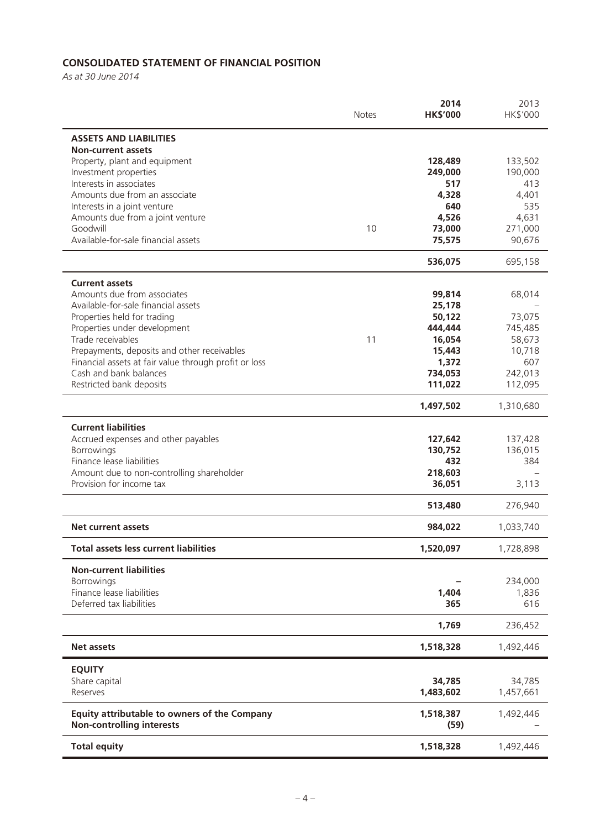# **CONSOLIDATED STATEMENT OF FINANCIAL POSITION**

*As at 30 June 2014*

|                                                                       | <b>Notes</b> | 2014<br><b>HK\$'000</b> | 2013<br>HK\$'000  |
|-----------------------------------------------------------------------|--------------|-------------------------|-------------------|
| <b>ASSETS AND LIABILITIES</b><br><b>Non-current assets</b>            |              |                         |                   |
| Property, plant and equipment                                         |              | 128,489                 | 133,502           |
| Investment properties                                                 |              | 249,000                 | 190,000           |
| Interests in associates                                               |              | 517                     | 413               |
| Amounts due from an associate                                         |              | 4,328                   | 4,401             |
| Interests in a joint venture                                          |              | 640                     | 535               |
| Amounts due from a joint venture<br>Goodwill                          | 10           | 4,526                   | 4,631             |
| Available-for-sale financial assets                                   |              | 73,000<br>75,575        | 271,000<br>90,676 |
|                                                                       |              |                         |                   |
|                                                                       |              | 536,075                 | 695,158           |
| <b>Current assets</b>                                                 |              |                         |                   |
| Amounts due from associates<br>Available-for-sale financial assets    |              | 99,814                  | 68,014            |
| Properties held for trading                                           |              | 25,178<br>50,122        | 73,075            |
| Properties under development                                          |              | 444,444                 | 745,485           |
| Trade receivables                                                     | 11           | 16,054                  | 58,673            |
| Prepayments, deposits and other receivables                           |              | 15,443                  | 10,718            |
| Financial assets at fair value through profit or loss                 |              | 1,372                   | 607               |
| Cash and bank balances                                                |              | 734,053                 | 242,013           |
| Restricted bank deposits                                              |              | 111,022                 | 112,095           |
|                                                                       |              | 1,497,502               | 1,310,680         |
| <b>Current liabilities</b>                                            |              |                         |                   |
| Accrued expenses and other payables                                   |              | 127,642                 | 137,428           |
| Borrowings                                                            |              | 130,752                 | 136,015           |
| Finance lease liabilities                                             |              | 432                     | 384               |
| Amount due to non-controlling shareholder<br>Provision for income tax |              | 218,603<br>36,051       | 3,113             |
|                                                                       |              |                         |                   |
|                                                                       |              | 513,480                 | 276,940           |
| <b>Net current assets</b>                                             |              | 984,022                 | 1,033,740         |
| <b>Total assets less current liabilities</b>                          |              | 1,520,097               | 1,728,898         |
| <b>Non-current liabilities</b>                                        |              |                         |                   |
| Borrowings                                                            |              |                         | 234,000           |
| Finance lease liabilities                                             |              | 1,404                   | 1,836             |
| Deferred tax liabilities                                              |              | 365                     | 616               |
|                                                                       |              | 1,769                   | 236,452           |
| <b>Net assets</b>                                                     |              | 1,518,328               | 1,492,446         |
| <b>EQUITY</b>                                                         |              |                         |                   |
| Share capital                                                         |              | 34,785                  | 34,785            |
| Reserves                                                              |              | 1,483,602               | 1,457,661         |
| Equity attributable to owners of the Company                          |              | 1,518,387               | 1,492,446         |
| <b>Non-controlling interests</b>                                      |              | (59)                    |                   |
| <b>Total equity</b>                                                   |              | 1,518,328               | 1,492,446         |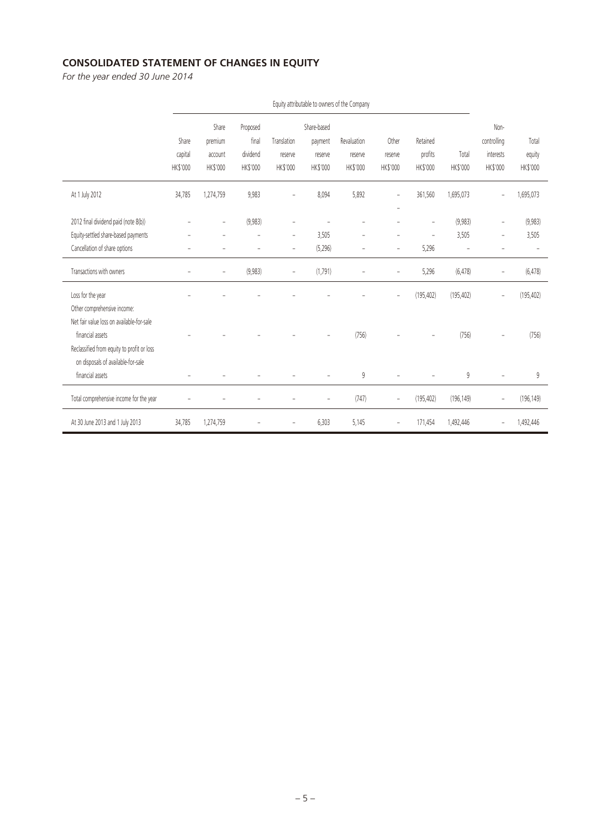# **CONSOLIDATED STATEMENT OF CHANGES IN EQUITY**

*For the year ended 30 June 2014*

|                                                                                                                                                   |                              |                                         |                                           |                                       |                                               | Equity attributable to owners of the Company |                                            |                                           |                   |                                              |                             |
|---------------------------------------------------------------------------------------------------------------------------------------------------|------------------------------|-----------------------------------------|-------------------------------------------|---------------------------------------|-----------------------------------------------|----------------------------------------------|--------------------------------------------|-------------------------------------------|-------------------|----------------------------------------------|-----------------------------|
|                                                                                                                                                   | Share<br>capital<br>HK\$'000 | Share<br>premium<br>account<br>HK\$'000 | Proposed<br>final<br>dividend<br>HK\$'000 | Translation<br>reserve<br>HK\$'000    | Share-based<br>payment<br>reserve<br>HK\$'000 | Revaluation<br>reserve<br>HK\$'000           | Other<br>reserve<br>HK\$'000               | Retained<br>profits<br>HK\$'000           | Total<br>HK\$'000 | Non-<br>controlling<br>interests<br>HK\$'000 | Total<br>equity<br>HK\$'000 |
| At 1 July 2012                                                                                                                                    | 34,785                       | 1,274,759                               | 9,983                                     | ÷                                     | 8,094                                         | 5,892                                        | $\overline{a}$                             | 361,560                                   | 1,695,073         |                                              | 1,695,073                   |
| 2012 final dividend paid (note 8(b))<br>Equity-settled share-based payments<br>Cancellation of share options                                      |                              | $\overline{a}$                          | (9,983)<br>$\overline{a}$                 | ÷<br>$\overline{a}$<br>$\overline{a}$ | 3,505<br>(5, 296)                             | $\overline{a}$                               | $\overline{a}$<br>$\overline{\phantom{0}}$ | $\overline{a}$<br>$\overline{a}$<br>5,296 | (9,983)<br>3,505  | $\overline{a}$<br>$\overline{a}$             | (9,983)<br>3,505            |
| Transactions with owners                                                                                                                          | $\overline{a}$               | $\overline{\phantom{a}}$                | (9,983)                                   | $\overline{a}$                        | (1,791)                                       |                                              | $\overline{a}$                             | 5,296                                     | (6, 478)          | $\overline{a}$                               | (6, 478)                    |
| Loss for the year<br>Other comprehensive income:                                                                                                  |                              |                                         |                                           |                                       |                                               |                                              |                                            | (195, 402)                                | (195, 402)        |                                              | (195, 402)                  |
| Net fair value loss on available-for-sale<br>financial assets<br>Reclassified from equity to profit or loss<br>on disposals of available-for-sale |                              |                                         |                                           |                                       |                                               | (756)                                        |                                            |                                           | (756)             |                                              | (756)                       |
| financial assets                                                                                                                                  |                              |                                         |                                           |                                       |                                               | 9                                            |                                            |                                           | 9                 |                                              | 9                           |
| Total comprehensive income for the year                                                                                                           |                              |                                         |                                           |                                       | -                                             | (747)                                        | $\overline{\phantom{a}}$                   | (195, 402)                                | (196, 149)        | $\qquad \qquad -$                            | (196, 149)                  |
| At 30 June 2013 and 1 July 2013                                                                                                                   | 34,785                       | 1,274,759                               |                                           |                                       | 6,303                                         | 5,145                                        |                                            | 171,454                                   | 1,492,446         |                                              | 1,492,446                   |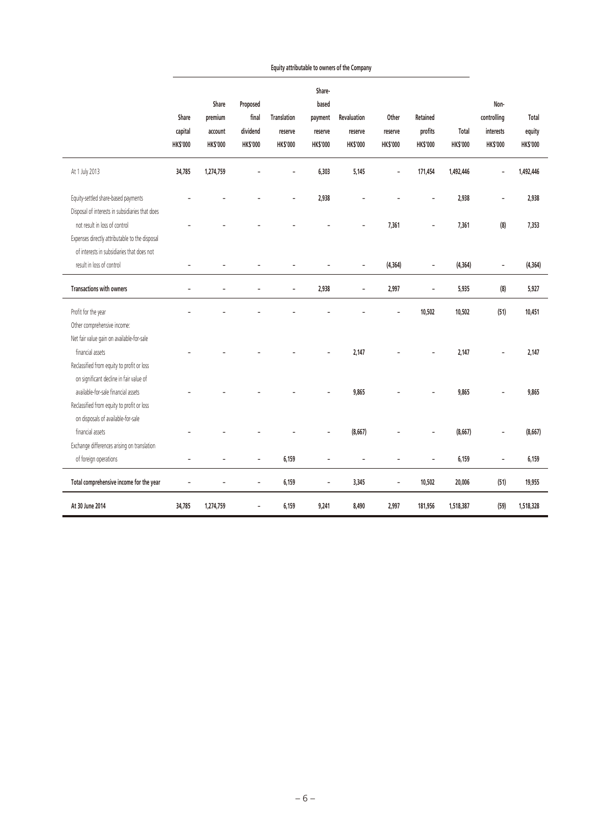|                                                                                                                              | Share<br>capital<br><b>HK\$'000</b> | Share<br>premium<br>account<br><b>HK\$'000</b> | Proposed<br>final<br>dividend<br><b>HK\$'000</b> | <b>Translation</b><br>reserve<br><b>HK\$'000</b> | Share-<br>based<br>payment<br>reserve<br><b>HK\$'000</b> | <b>Revaluation</b><br>reserve<br><b>HK\$'000</b> | Other<br>reserve<br><b>HK\$'000</b> | Retained<br>profits<br><b>HK\$'000</b> | Total<br><b>HK\$'000</b> | Non-<br>controlling<br>interests<br><b>HK\$'000</b> | Total<br>equity<br><b>HK\$'000</b> |
|------------------------------------------------------------------------------------------------------------------------------|-------------------------------------|------------------------------------------------|--------------------------------------------------|--------------------------------------------------|----------------------------------------------------------|--------------------------------------------------|-------------------------------------|----------------------------------------|--------------------------|-----------------------------------------------------|------------------------------------|
| At 1 July 2013                                                                                                               | 34,785                              | 1,274,759                                      |                                                  |                                                  | 6,303                                                    | 5,145                                            |                                     | 171,454                                | 1,492,446                |                                                     | 1,492,446                          |
| Equity-settled share-based payments<br>Disposal of interests in subsidiaries that does                                       |                                     |                                                |                                                  |                                                  | 2,938                                                    |                                                  |                                     |                                        | 2,938                    | $\overline{a}$                                      | 2,938                              |
| not result in loss of control<br>Expenses directly attributable to the disposal                                              |                                     |                                                |                                                  |                                                  |                                                          |                                                  | 7,361                               |                                        | 7,361                    | (8)                                                 | 7,353                              |
| of interests in subsidiaries that does not<br>result in loss of control                                                      |                                     |                                                |                                                  |                                                  |                                                          |                                                  | (4, 364)                            |                                        | (4, 364)                 | $\overline{\phantom{a}}$                            | (4, 364)                           |
| <b>Transactions with owners</b>                                                                                              |                                     |                                                |                                                  |                                                  | 2,938                                                    | $\overline{a}$                                   | 2,997                               | $\overline{a}$                         | 5,935                    | $\left( 8\right)$                                   | 5,927                              |
| Profit for the year<br>Other comprehensive income:                                                                           |                                     |                                                |                                                  |                                                  |                                                          |                                                  |                                     | 10,502                                 | 10,502                   | (51)                                                | 10,451                             |
| Net fair value gain on available-for-sale<br>financial assets<br>Reclassified from equity to profit or loss                  |                                     |                                                |                                                  |                                                  |                                                          | 2,147                                            |                                     |                                        | 2,147                    |                                                     | 2,147                              |
| on significant decline in fair value of<br>available-for-sale financial assets<br>Reclassified from equity to profit or loss |                                     |                                                |                                                  |                                                  |                                                          | 9,865                                            |                                     |                                        | 9,865                    |                                                     | 9,865                              |
| on disposals of available-for-sale<br>financial assets<br>Exchange differences arising on translation                        |                                     |                                                |                                                  |                                                  |                                                          | (8,667)                                          |                                     |                                        | (8,667)                  | $\overline{a}$                                      | (8,667)                            |
| of foreign operations                                                                                                        | $\overline{a}$                      | Ĭ.                                             | $\overline{\phantom{0}}$                         | 6,159                                            | $\overline{\phantom{0}}$                                 | ÷                                                | $\overline{a}$                      |                                        | 6,159                    | $\overline{\phantom{0}}$                            | 6,159                              |
| Total comprehensive income for the year                                                                                      | $\overline{a}$                      | ÷                                              | $\qquad \qquad -$                                | 6,159                                            | $\overline{\phantom{0}}$                                 | 3,345                                            | $\overline{\phantom{a}}$            | 10,502                                 | 20,006                   | (51)                                                | 19,955                             |
| At 30 June 2014                                                                                                              | 34,785                              | 1,274,759                                      | -                                                | 6,159                                            | 9,241                                                    | 8,490                                            | 2,997                               | 181,956                                | 1,518,387                | (59)                                                | 1,518,328                          |

**Equity attributable to owners of the Company**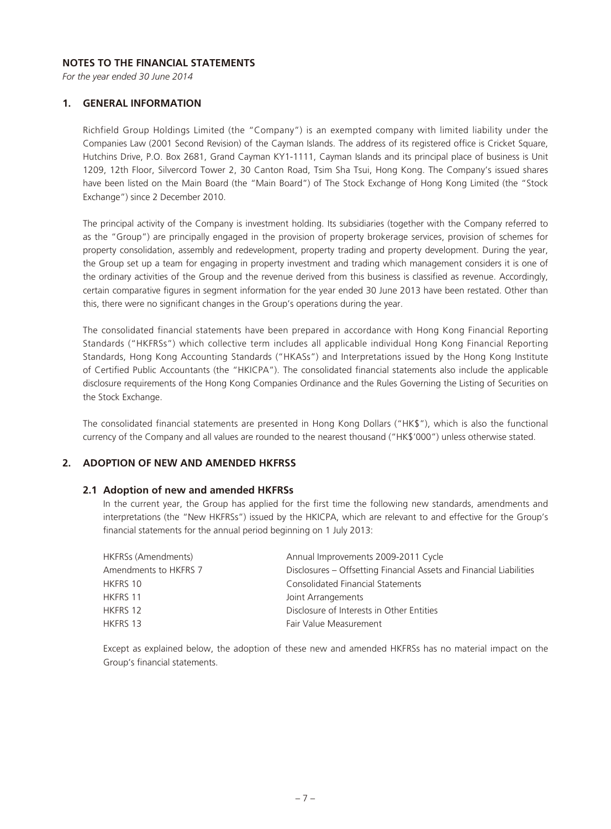#### **NOTES TO THE FINANCIAL STATEMENTS**

*For the year ended 30 June 2014*

#### **1. GENERAL INFORMATION**

Richfield Group Holdings Limited (the "Company") is an exempted company with limited liability under the Companies Law (2001 Second Revision) of the Cayman Islands. The address of its registered office is Cricket Square, Hutchins Drive, P.O. Box 2681, Grand Cayman KY1-1111, Cayman Islands and its principal place of business is Unit 1209, 12th Floor, Silvercord Tower 2, 30 Canton Road, Tsim Sha Tsui, Hong Kong. The Company's issued shares have been listed on the Main Board (the "Main Board") of The Stock Exchange of Hong Kong Limited (the "Stock Exchange") since 2 December 2010.

The principal activity of the Company is investment holding. Its subsidiaries (together with the Company referred to as the "Group") are principally engaged in the provision of property brokerage services, provision of schemes for property consolidation, assembly and redevelopment, property trading and property development. During the year, the Group set up a team for engaging in property investment and trading which management considers it is one of the ordinary activities of the Group and the revenue derived from this business is classified as revenue. Accordingly, certain comparative figures in segment information for the year ended 30 June 2013 have been restated. Other than this, there were no significant changes in the Group's operations during the year.

The consolidated financial statements have been prepared in accordance with Hong Kong Financial Reporting Standards ("HKFRSs") which collective term includes all applicable individual Hong Kong Financial Reporting Standards, Hong Kong Accounting Standards ("HKASs") and Interpretations issued by the Hong Kong Institute of Certified Public Accountants (the "HKICPA"). The consolidated financial statements also include the applicable disclosure requirements of the Hong Kong Companies Ordinance and the Rules Governing the Listing of Securities on the Stock Exchange.

The consolidated financial statements are presented in Hong Kong Dollars ("HK\$"), which is also the functional currency of the Company and all values are rounded to the nearest thousand ("HK\$'000") unless otherwise stated.

## **2. ADOPTION OF NEW AND AMENDED HKFRSS**

#### **2.1 Adoption of new and amended HKFRSs**

In the current year, the Group has applied for the first time the following new standards, amendments and interpretations (the "New HKFRSs") issued by the HKICPA, which are relevant to and effective for the Group's financial statements for the annual period beginning on 1 July 2013:

| Annual Improvements 2009-2011 Cycle                                 |
|---------------------------------------------------------------------|
| Disclosures – Offsetting Financial Assets and Financial Liabilities |
| Consolidated Financial Statements                                   |
| Joint Arrangements                                                  |
| Disclosure of Interests in Other Entities                           |
| Fair Value Measurement                                              |
|                                                                     |

Except as explained below, the adoption of these new and amended HKFRSs has no material impact on the Group's financial statements.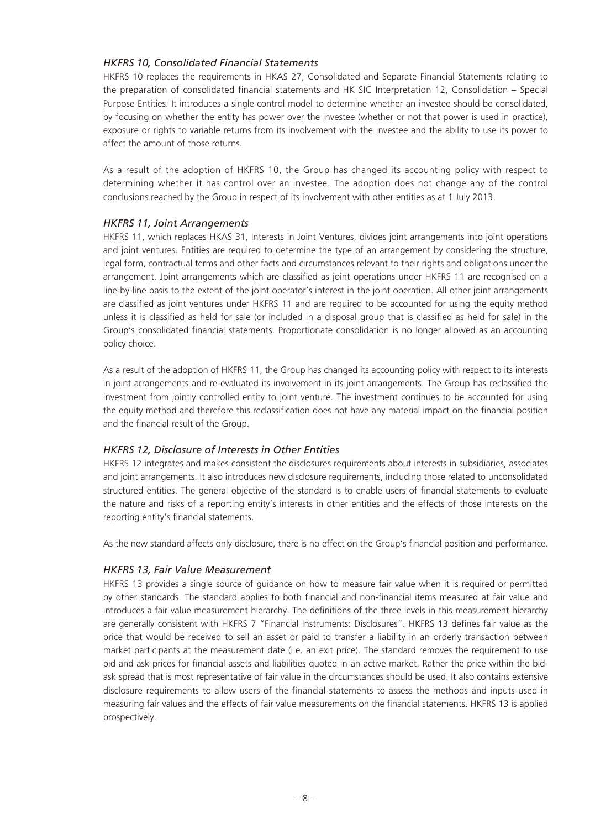## *HKFRS 10, Consolidated Financial Statements*

HKFRS 10 replaces the requirements in HKAS 27, Consolidated and Separate Financial Statements relating to the preparation of consolidated financial statements and HK SIC Interpretation 12, Consolidation – Special Purpose Entities. It introduces a single control model to determine whether an investee should be consolidated, by focusing on whether the entity has power over the investee (whether or not that power is used in practice), exposure or rights to variable returns from its involvement with the investee and the ability to use its power to affect the amount of those returns.

As a result of the adoption of HKFRS 10, the Group has changed its accounting policy with respect to determining whether it has control over an investee. The adoption does not change any of the control conclusions reached by the Group in respect of its involvement with other entities as at 1 July 2013.

#### *HKFRS 11, Joint Arrangements*

HKFRS 11, which replaces HKAS 31, Interests in Joint Ventures, divides joint arrangements into joint operations and joint ventures. Entities are required to determine the type of an arrangement by considering the structure, legal form, contractual terms and other facts and circumstances relevant to their rights and obligations under the arrangement. Joint arrangements which are classified as joint operations under HKFRS 11 are recognised on a line-by-line basis to the extent of the joint operator's interest in the joint operation. All other joint arrangements are classified as joint ventures under HKFRS 11 and are required to be accounted for using the equity method unless it is classified as held for sale (or included in a disposal group that is classified as held for sale) in the Group's consolidated financial statements. Proportionate consolidation is no longer allowed as an accounting policy choice.

As a result of the adoption of HKFRS 11, the Group has changed its accounting policy with respect to its interests in joint arrangements and re-evaluated its involvement in its joint arrangements. The Group has reclassified the investment from jointly controlled entity to joint venture. The investment continues to be accounted for using the equity method and therefore this reclassification does not have any material impact on the financial position and the financial result of the Group.

#### *HKFRS 12, Disclosure of Interests in Other Entities*

HKFRS 12 integrates and makes consistent the disclosures requirements about interests in subsidiaries, associates and joint arrangements. It also introduces new disclosure requirements, including those related to unconsolidated structured entities. The general objective of the standard is to enable users of financial statements to evaluate the nature and risks of a reporting entity's interests in other entities and the effects of those interests on the reporting entity's financial statements.

As the new standard affects only disclosure, there is no effect on the Group's financial position and performance.

#### *HKFRS 13, Fair Value Measurement*

HKFRS 13 provides a single source of guidance on how to measure fair value when it is required or permitted by other standards. The standard applies to both financial and non-financial items measured at fair value and introduces a fair value measurement hierarchy. The definitions of the three levels in this measurement hierarchy are generally consistent with HKFRS 7 "Financial Instruments: Disclosures". HKFRS 13 defines fair value as the price that would be received to sell an asset or paid to transfer a liability in an orderly transaction between market participants at the measurement date (i.e. an exit price). The standard removes the requirement to use bid and ask prices for financial assets and liabilities quoted in an active market. Rather the price within the bidask spread that is most representative of fair value in the circumstances should be used. It also contains extensive disclosure requirements to allow users of the financial statements to assess the methods and inputs used in measuring fair values and the effects of fair value measurements on the financial statements. HKFRS 13 is applied prospectively.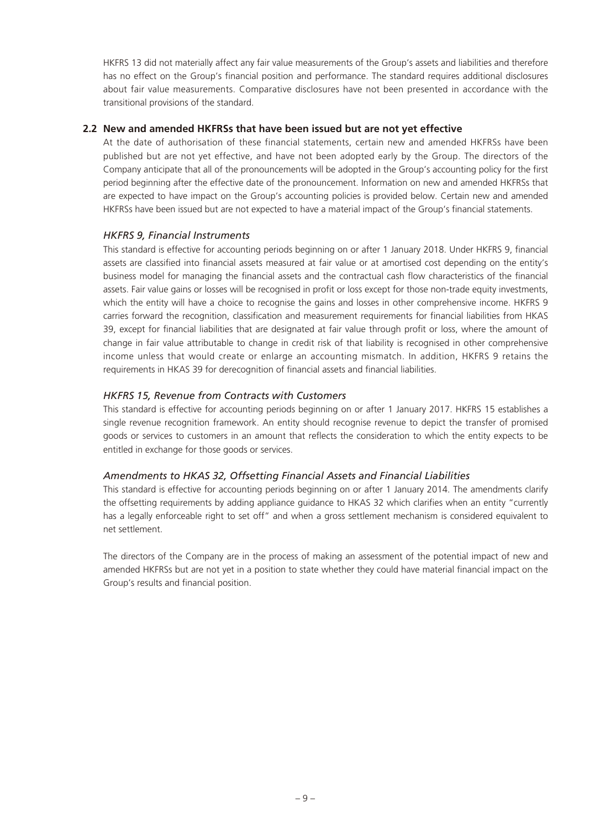HKFRS 13 did not materially affect any fair value measurements of the Group's assets and liabilities and therefore has no effect on the Group's financial position and performance. The standard requires additional disclosures about fair value measurements. Comparative disclosures have not been presented in accordance with the transitional provisions of the standard.

# **2.2 New and amended HKFRSs that have been issued but are not yet effective**

At the date of authorisation of these financial statements, certain new and amended HKFRSs have been published but are not yet effective, and have not been adopted early by the Group. The directors of the Company anticipate that all of the pronouncements will be adopted in the Group's accounting policy for the first period beginning after the effective date of the pronouncement. Information on new and amended HKFRSs that are expected to have impact on the Group's accounting policies is provided below. Certain new and amended HKFRSs have been issued but are not expected to have a material impact of the Group's financial statements.

# *HKFRS 9, Financial Instruments*

This standard is effective for accounting periods beginning on or after 1 January 2018. Under HKFRS 9, financial assets are classified into financial assets measured at fair value or at amortised cost depending on the entity's business model for managing the financial assets and the contractual cash flow characteristics of the financial assets. Fair value gains or losses will be recognised in profit or loss except for those non-trade equity investments, which the entity will have a choice to recognise the gains and losses in other comprehensive income. HKFRS 9 carries forward the recognition, classification and measurement requirements for financial liabilities from HKAS 39, except for financial liabilities that are designated at fair value through profit or loss, where the amount of change in fair value attributable to change in credit risk of that liability is recognised in other comprehensive income unless that would create or enlarge an accounting mismatch. In addition, HKFRS 9 retains the requirements in HKAS 39 for derecognition of financial assets and financial liabilities.

# *HKFRS 15, Revenue from Contracts with Customers*

This standard is effective for accounting periods beginning on or after 1 January 2017. HKFRS 15 establishes a single revenue recognition framework. An entity should recognise revenue to depict the transfer of promised goods or services to customers in an amount that reflects the consideration to which the entity expects to be entitled in exchange for those goods or services.

#### *Amendments to HKAS 32, Offsetting Financial Assets and Financial Liabilities*

This standard is effective for accounting periods beginning on or after 1 January 2014. The amendments clarify the offsetting requirements by adding appliance guidance to HKAS 32 which clarifies when an entity "currently has a legally enforceable right to set off" and when a gross settlement mechanism is considered equivalent to net settlement.

The directors of the Company are in the process of making an assessment of the potential impact of new and amended HKFRSs but are not yet in a position to state whether they could have material financial impact on the Group's results and financial position.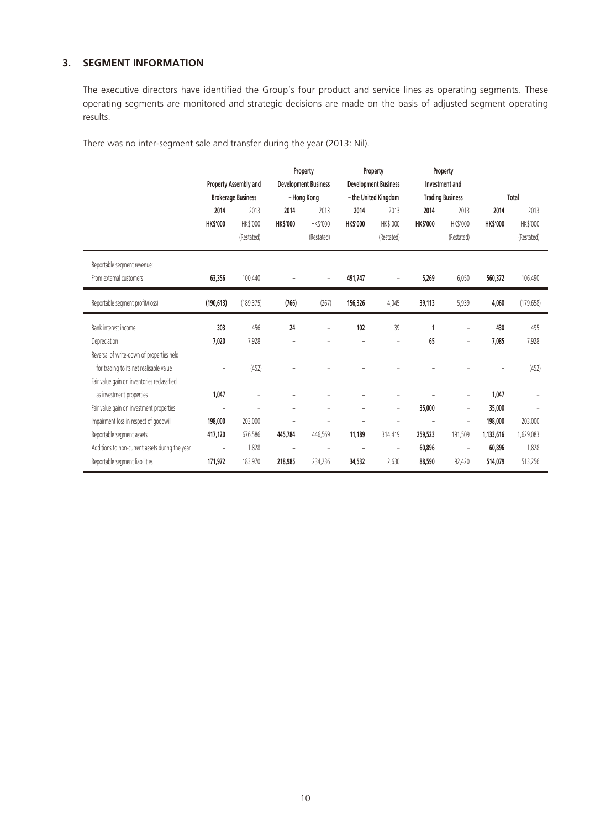# **3. SEGMENT INFORMATION**

The executive directors have identified the Group's four product and service lines as operating segments. These operating segments are monitored and strategic decisions are made on the basis of adjusted segment operating results.

There was no inter-segment sale and transfer during the year (2013: Nil).

|                                                 |                | Property Assembly and     |                | Property<br><b>Development Business</b> |                 | Property<br><b>Development Business</b> |                 | Property<br>Investment and |                |            |
|-------------------------------------------------|----------------|---------------------------|----------------|-----------------------------------------|-----------------|-----------------------------------------|-----------------|----------------------------|----------------|------------|
|                                                 |                | <b>Brokerage Business</b> |                | - Hong Kong                             |                 | - the United Kingdom                    |                 | <b>Trading Business</b>    |                | Total      |
|                                                 | 2014           | 2013                      | 2014           | 2013                                    | 2014            | 2013                                    | 2014            | 2013                       | 2014           | 2013       |
|                                                 | <b>HKS'000</b> | <b>HK\$'000</b>           | <b>HKS'000</b> | <b>HK\$'000</b>                         | <b>HK\$'000</b> | <b>HK\$'000</b>                         | <b>HK\$'000</b> | <b>HK\$'000</b>            | <b>HKS'000</b> | HK\$'000   |
|                                                 |                | (Restated)                |                | (Restated)                              |                 | (Restated)                              |                 | (Restated)                 |                | (Restated) |
| Reportable segment revenue:                     |                |                           |                |                                         |                 |                                         |                 |                            |                |            |
| From external customers                         | 63,356         | 100,440                   |                |                                         | 491,747         |                                         | 5,269           | 6,050                      | 560,372        | 106,490    |
| Reportable segment profit/(loss)                | (190, 613)     | (189, 375)                | (766)          | (267)                                   | 156,326         | 4,045                                   | 39,113          | 5,939                      | 4,060          | (179, 658) |
| Bank interest income                            | 303            | 456                       | 24             |                                         | 102             | 39                                      | 1               |                            | 430            | 495        |
| Depreciation                                    | 7,020          | 7,928                     |                |                                         |                 |                                         | 65              | $\overline{a}$             | 7,085          | 7,928      |
| Reversal of write-down of properties held       |                |                           |                |                                         |                 |                                         |                 |                            |                |            |
| for trading to its net realisable value         |                | (452)                     |                |                                         |                 |                                         |                 |                            |                | (452)      |
| Fair value gain on inventories reclassified     |                |                           |                |                                         |                 |                                         |                 |                            |                |            |
| as investment properties                        | 1,047          | -                         |                |                                         |                 |                                         |                 | -                          | 1,047          |            |
| Fair value gain on investment properties        |                |                           |                |                                         |                 | $\overline{a}$                          | 35,000          | $\overline{\phantom{0}}$   | 35,000         |            |
| Impairment loss in respect of goodwill          | 198,000        | 203,000                   |                |                                         |                 |                                         |                 | $\overline{a}$             | 198,000        | 203,000    |
| Reportable segment assets                       | 417,120        | 676,586                   | 445,784        | 446,569                                 | 11,189          | 314,419                                 | 259,523         | 191,509                    | 1,133,616      | 1,629,083  |
| Additions to non-current assets during the year |                | 1,828                     |                | $\overline{\phantom{a}}$                | ۰               | $\overline{a}$                          | 60,896          | $\overline{a}$             | 60,896         | 1,828      |
| Reportable segment liabilities                  | 171,972        | 183,970                   | 218,985        | 234,236                                 | 34,532          | 2,630                                   | 88,590          | 92,420                     | 514,079        | 513,256    |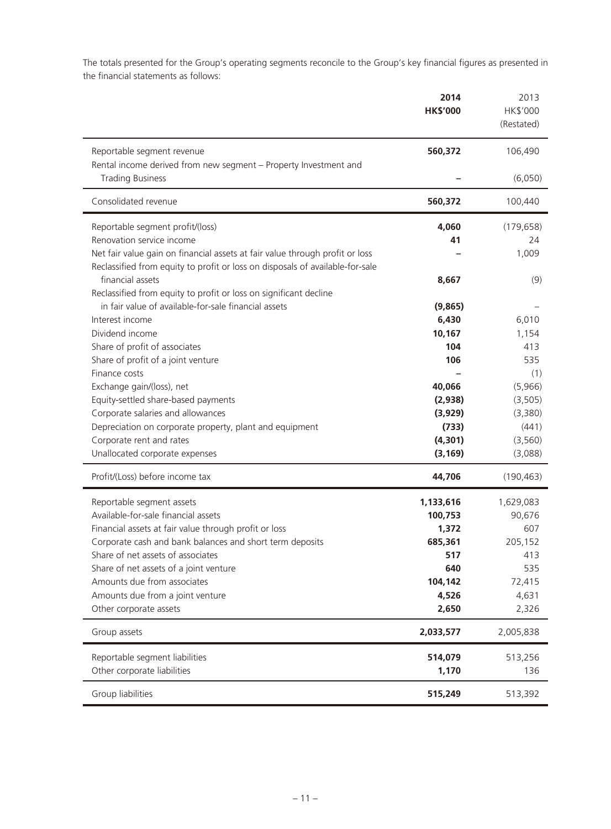The totals presented for the Group's operating segments reconcile to the Group's key financial figures as presented in the financial statements as follows:

|                                                                                                | 2014<br><b>HK\$'000</b> | 2013<br>HK\$'000<br>(Restated) |
|------------------------------------------------------------------------------------------------|-------------------------|--------------------------------|
| Reportable segment revenue<br>Rental income derived from new segment - Property Investment and | 560,372                 | 106,490                        |
| <b>Trading Business</b>                                                                        |                         | (6,050)                        |
| Consolidated revenue                                                                           | 560,372                 | 100,440                        |
| Reportable segment profit/(loss)                                                               | 4,060                   | (179, 658)                     |
| Renovation service income                                                                      | 41                      | 24                             |
| Net fair value gain on financial assets at fair value through profit or loss                   |                         | 1,009                          |
| Reclassified from equity to profit or loss on disposals of available-for-sale                  |                         |                                |
| financial assets                                                                               | 8,667                   | (9)                            |
| Reclassified from equity to profit or loss on significant decline                              |                         |                                |
| in fair value of available-for-sale financial assets<br>Interest income                        | (9,865)<br>6,430        | 6,010                          |
| Dividend income                                                                                | 10,167                  | 1,154                          |
| Share of profit of associates                                                                  | 104                     | 413                            |
| Share of profit of a joint venture                                                             | 106                     | 535                            |
| Finance costs                                                                                  |                         | (1)                            |
| Exchange gain/(loss), net                                                                      | 40,066                  | (5,966)                        |
| Equity-settled share-based payments                                                            | (2,938)                 | (3, 505)                       |
| Corporate salaries and allowances                                                              | (3,929)                 | (3,380)                        |
| Depreciation on corporate property, plant and equipment                                        | (733)                   | (441)                          |
| Corporate rent and rates                                                                       | (4, 301)                | (3, 560)                       |
| Unallocated corporate expenses                                                                 | (3, 169)                | (3,088)                        |
| Profit/(Loss) before income tax                                                                | 44,706                  | (190, 463)                     |
| Reportable segment assets                                                                      | 1,133,616               | 1,629,083                      |
| Available-for-sale financial assets                                                            | 100,753                 | 90,676                         |
| Financial assets at fair value through profit or loss                                          | 1,372                   | 607                            |
| Corporate cash and bank balances and short term deposits                                       | 685,361                 | 205,152                        |
| Share of net assets of associates                                                              | 517                     | 413                            |
| Share of net assets of a joint venture                                                         | 640                     | 535                            |
| Amounts due from associates                                                                    | 104,142                 | 72,415                         |
| Amounts due from a joint venture                                                               | 4,526<br>2,650          | 4,631                          |
| Other corporate assets                                                                         |                         | 2,326                          |
| Group assets                                                                                   | 2,033,577               | 2,005,838                      |
| Reportable segment liabilities                                                                 | 514,079                 | 513,256                        |
| Other corporate liabilities                                                                    | 1,170                   | 136                            |
| Group liabilities                                                                              | 515,249                 | 513,392                        |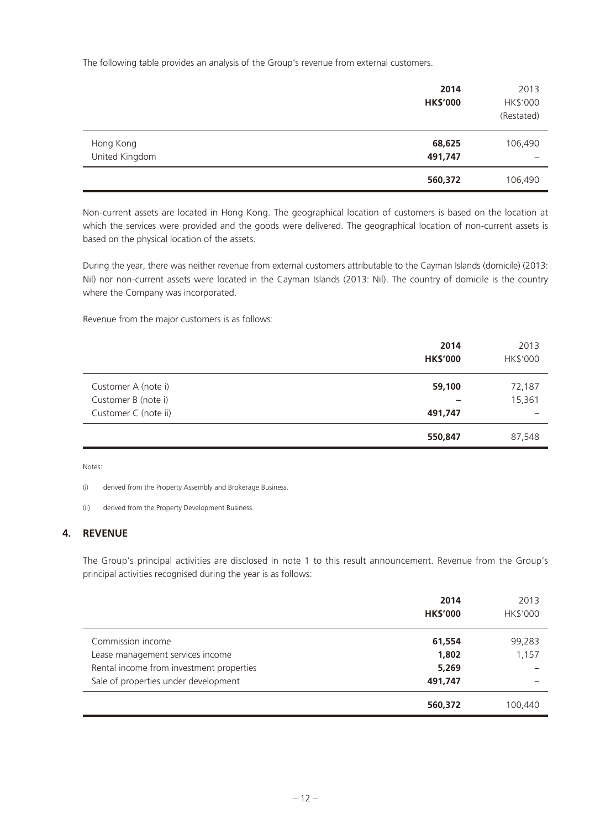The following table provides an analysis of the Group's revenue from external customers.

|                             | 2014<br><b>HK\$'000</b> | 2013<br>HK\$'000<br>(Restated) |
|-----------------------------|-------------------------|--------------------------------|
| Hong Kong<br>United Kingdom | 68,625<br>491,747       | 106,490                        |
|                             | 560,372                 | 106,490                        |

Non-current assets are located in Hong Kong. The geographical location of customers is based on the location at which the services were provided and the goods were delivered. The geographical location of non-current assets is based on the physical location of the assets.

During the year, there was neither revenue from external customers attributable to the Cayman Islands (domicile) (2013: Nil) nor non-current assets were located in the Cayman Islands (2013: Nil). The country of domicile is the country where the Company was incorporated.

Revenue from the major customers is as follows:

|                      | 2014<br><b>HK\$'000</b>  | 2013<br>HK\$'000 |
|----------------------|--------------------------|------------------|
| Customer A (note i)  | 59,100                   | 72,187           |
| Customer B (note i)  | $\overline{\phantom{0}}$ | 15,361           |
| Customer C (note ii) | 491,747                  |                  |
|                      | 550,847                  | 87,548           |

Notes:

(i) derived from the Property Assembly and Brokerage Business.

(ii) derived from the Property Development Business.

## **4. REVENUE**

The Group's principal activities are disclosed in note 1 to this result announcement. Revenue from the Group's principal activities recognised during the year is as follows:

|                                          | 2014<br><b>HK\$'000</b> | 2013<br>HK\$'000 |
|------------------------------------------|-------------------------|------------------|
| Commission income                        | 61,554                  | 99,283           |
| Lease management services income         | 1,802                   | 1,157            |
| Rental income from investment properties | 5,269                   |                  |
| Sale of properties under development     | 491,747                 |                  |
|                                          | 560,372                 | 100,440          |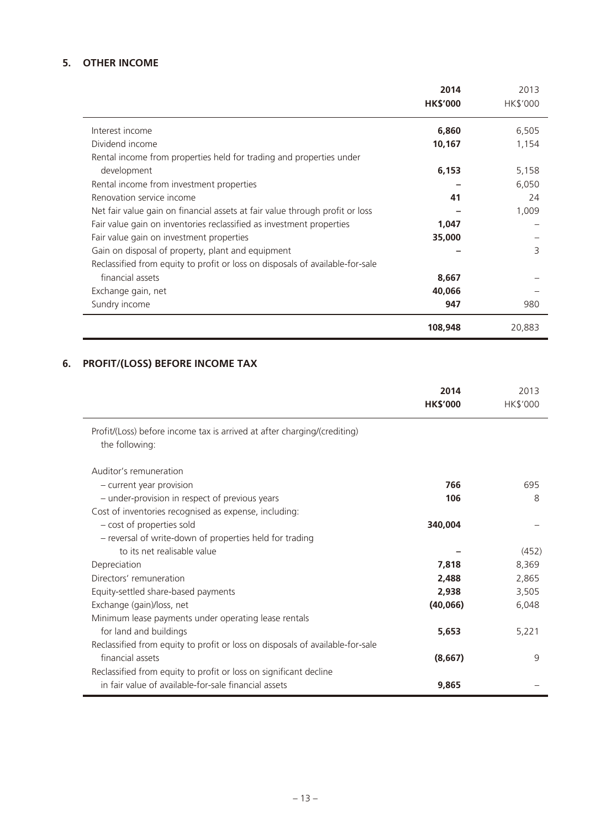# **5. OTHER INCOME**

|                                                                               | 2014<br><b>HK\$'000</b> | 2013<br>HK\$'000 |
|-------------------------------------------------------------------------------|-------------------------|------------------|
| Interest income                                                               | 6,860                   | 6,505            |
| Dividend income                                                               | 10,167                  | 1,154            |
| Rental income from properties held for trading and properties under           |                         |                  |
| development                                                                   | 6,153                   | 5,158            |
| Rental income from investment properties                                      |                         | 6,050            |
| Renovation service income                                                     | 41                      | 24               |
| Net fair value gain on financial assets at fair value through profit or loss  |                         | 1,009            |
| Fair value gain on inventories reclassified as investment properties          | 1,047                   |                  |
| Fair value gain on investment properties                                      | 35,000                  |                  |
| Gain on disposal of property, plant and equipment                             |                         | 3                |
| Reclassified from equity to profit or loss on disposals of available-for-sale |                         |                  |
| financial assets                                                              | 8,667                   |                  |
| Exchange gain, net                                                            | 40,066                  |                  |
| Sundry income                                                                 | 947                     | 980              |
|                                                                               | 108,948                 | 20,883           |

# **6. PROFIT/(LOSS) BEFORE INCOME TAX**

|                                                                                            | 2014<br><b>HK\$'000</b> | 2013<br>HK\$'000 |
|--------------------------------------------------------------------------------------------|-------------------------|------------------|
| Profit/(Loss) before income tax is arrived at after charging/(crediting)<br>the following: |                         |                  |
| Auditor's remuneration                                                                     |                         |                  |
| - current year provision                                                                   | 766                     | 695              |
| - under-provision in respect of previous years                                             | 106                     | 8                |
| Cost of inventories recognised as expense, including:                                      |                         |                  |
| - cost of properties sold                                                                  | 340,004                 |                  |
| - reversal of write-down of properties held for trading                                    |                         |                  |
| to its net realisable value                                                                |                         | (452)            |
| Depreciation                                                                               | 7,818                   | 8,369            |
| Directors' remuneration                                                                    | 2,488                   | 2,865            |
| Equity-settled share-based payments                                                        | 2,938                   | 3,505            |
| Exchange (gain)/loss, net                                                                  | (40,066)                | 6,048            |
| Minimum lease payments under operating lease rentals                                       |                         |                  |
| for land and buildings                                                                     | 5,653                   | 5,221            |
| Reclassified from equity to profit or loss on disposals of available-for-sale              |                         |                  |
| financial assets                                                                           | (8,667)                 | 9                |
| Reclassified from equity to profit or loss on significant decline                          |                         |                  |
| in fair value of available-for-sale financial assets                                       | 9,865                   |                  |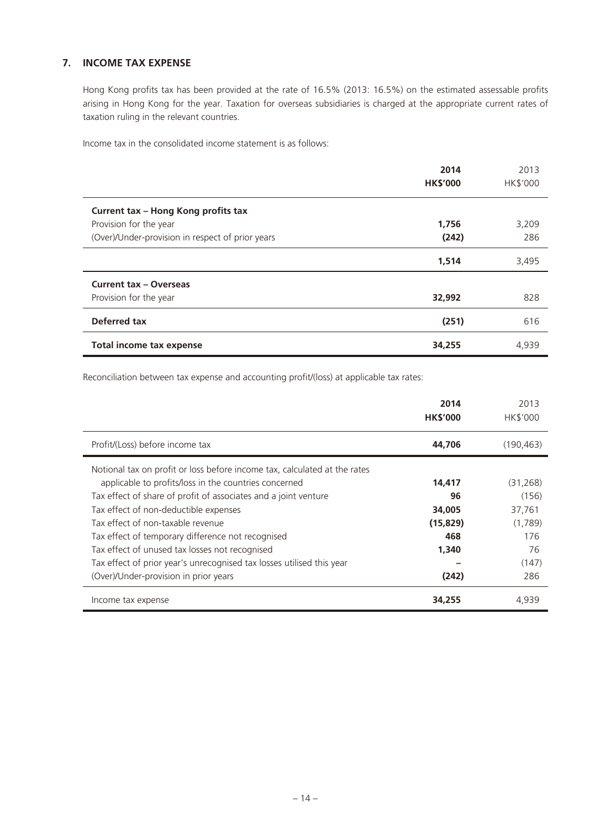# **7. INCOME TAX EXPENSE**

Hong Kong profits tax has been provided at the rate of 16.5% (2013: 16.5%) on the estimated assessable profits arising in Hong Kong for the year. Taxation for overseas subsidiaries is charged at the appropriate current rates of taxation ruling in the relevant countries.

Income tax in the consolidated income statement is as follows:

|                                                  | 2014<br><b>HK\$'000</b> | 2013<br>HK\$'000 |
|--------------------------------------------------|-------------------------|------------------|
| Current tax - Hong Kong profits tax              |                         |                  |
| Provision for the year                           | 1,756                   | 3,209            |
| (Over)/Under-provision in respect of prior years | (242)                   | 286              |
|                                                  | 1,514                   | 3,495            |
| <b>Current tax - Overseas</b>                    |                         |                  |
| Provision for the year                           | 32,992                  | 828              |
| Deferred tax                                     | (251)                   | 616              |
| <b>Total income tax expense</b>                  | 34,255                  | 4,939            |

Reconciliation between tax expense and accounting profit/(loss) at applicable tax rates:

|                                                                           | 2014<br><b>HK\$'000</b> | 2013<br><b>HK\$'000</b> |
|---------------------------------------------------------------------------|-------------------------|-------------------------|
| Profit/(Loss) before income tax                                           | 44,706                  | (190, 463)              |
| Notional tax on profit or loss before income tax, calculated at the rates |                         |                         |
| applicable to profits/loss in the countries concerned                     | 14,417                  | (31, 268)               |
| Tax effect of share of profit of associates and a joint venture           | 96                      | (156)                   |
| Tax effect of non-deductible expenses                                     | 34,005                  | 37,761                  |
| Tax effect of non-taxable revenue                                         | (15, 829)               | (1,789)                 |
| Tax effect of temporary difference not recognised                         | 468                     | 176                     |
| Tax effect of unused tax losses not recognised                            | 1,340                   | 76                      |
| Tax effect of prior year's unrecognised tax losses utilised this year     |                         | (147)                   |
| (Over)/Under-provision in prior years                                     | (242)                   | 286                     |
| Income tax expense                                                        | 34,255                  | 4.939                   |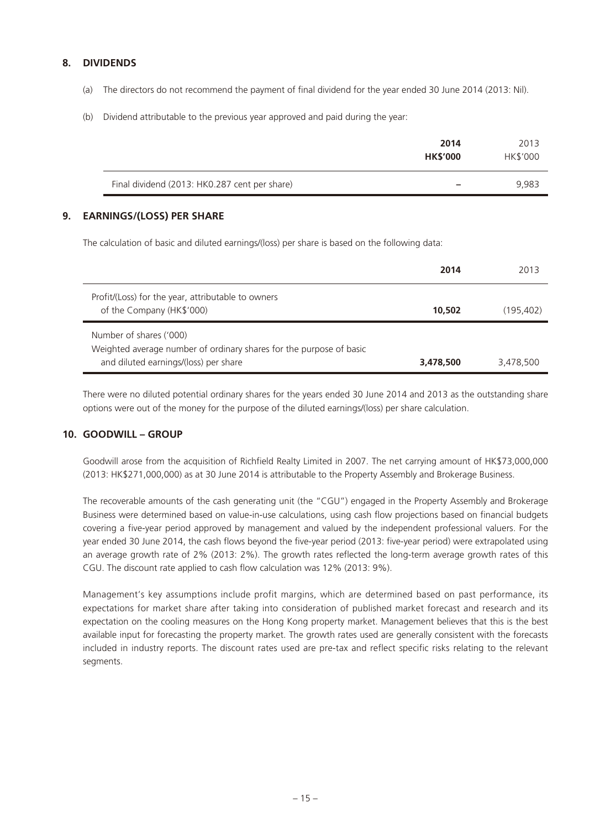# **8. DIVIDENDS**

- (a) The directors do not recommend the payment of final dividend for the year ended 30 June 2014 (2013: Nil).
- (b) Dividend attributable to the previous year approved and paid during the year:

|                                               | 2014<br><b>HK\$'000</b>  | 2013<br>HK\$'000 |
|-----------------------------------------------|--------------------------|------------------|
| Final dividend (2013: HK0.287 cent per share) | $\overline{\phantom{a}}$ | 9,983            |

# **9. EARNINGS/(LOSS) PER SHARE**

The calculation of basic and diluted earnings/(loss) per share is based on the following data:

|                                                                                                                                         | 2014      | 2013       |
|-----------------------------------------------------------------------------------------------------------------------------------------|-----------|------------|
| Profit/(Loss) for the year, attributable to owners<br>of the Company (HK\$'000)                                                         | 10,502    | (195, 402) |
| Number of shares ('000)<br>Weighted average number of ordinary shares for the purpose of basic<br>and diluted earnings/(loss) per share | 3,478,500 | 3,478,500  |

There were no diluted potential ordinary shares for the years ended 30 June 2014 and 2013 as the outstanding share options were out of the money for the purpose of the diluted earnings/(loss) per share calculation.

# **10. GOODWILL – GROUP**

Goodwill arose from the acquisition of Richfield Realty Limited in 2007. The net carrying amount of HK\$73,000,000 (2013: HK\$271,000,000) as at 30 June 2014 is attributable to the Property Assembly and Brokerage Business.

The recoverable amounts of the cash generating unit (the "CGU") engaged in the Property Assembly and Brokerage Business were determined based on value-in-use calculations, using cash flow projections based on financial budgets covering a five-year period approved by management and valued by the independent professional valuers. For the year ended 30 June 2014, the cash flows beyond the five-year period (2013: five-year period) were extrapolated using an average growth rate of 2% (2013: 2%). The growth rates reflected the long-term average growth rates of this CGU. The discount rate applied to cash flow calculation was 12% (2013: 9%).

Management's key assumptions include profit margins, which are determined based on past performance, its expectations for market share after taking into consideration of published market forecast and research and its expectation on the cooling measures on the Hong Kong property market. Management believes that this is the best available input for forecasting the property market. The growth rates used are generally consistent with the forecasts included in industry reports. The discount rates used are pre-tax and reflect specific risks relating to the relevant segments.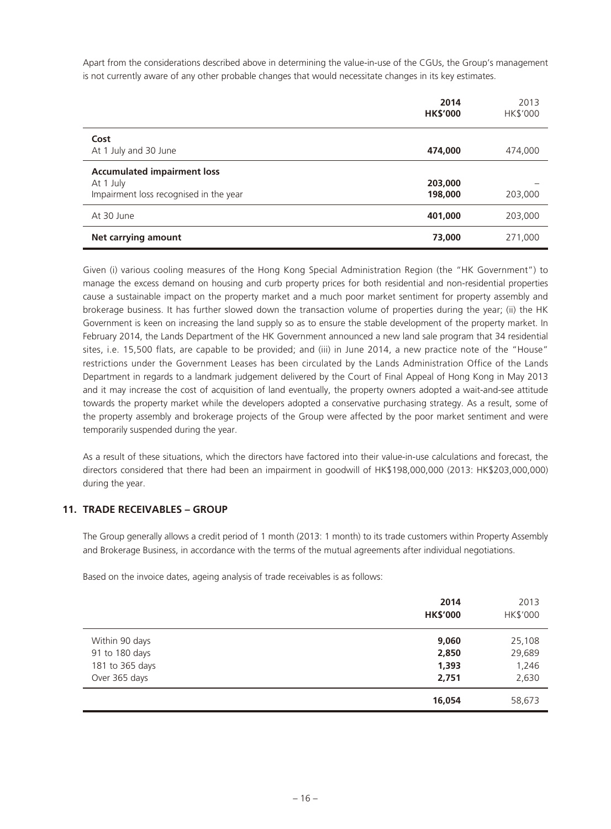Apart from the considerations described above in determining the value-in-use of the CGUs, the Group's management is not currently aware of any other probable changes that would necessitate changes in its key estimates.

|                                                                                           | 2014<br><b>HK\$'000</b> | 2013<br>HK\$'000 |
|-------------------------------------------------------------------------------------------|-------------------------|------------------|
| Cost<br>At 1 July and 30 June                                                             | 474,000                 | 474,000          |
| <b>Accumulated impairment loss</b><br>At 1 July<br>Impairment loss recognised in the year | 203,000<br>198,000      | 203,000          |
| At 30 June                                                                                | 401,000                 | 203,000          |
| Net carrying amount                                                                       | 73,000                  | 271,000          |

Given (i) various cooling measures of the Hong Kong Special Administration Region (the "HK Government") to manage the excess demand on housing and curb property prices for both residential and non-residential properties cause a sustainable impact on the property market and a much poor market sentiment for property assembly and brokerage business. It has further slowed down the transaction volume of properties during the year; (ii) the HK Government is keen on increasing the land supply so as to ensure the stable development of the property market. In February 2014, the Lands Department of the HK Government announced a new land sale program that 34 residential sites, i.e. 15,500 flats, are capable to be provided; and (iii) in June 2014, a new practice note of the "House" restrictions under the Government Leases has been circulated by the Lands Administration Office of the Lands Department in regards to a landmark judgement delivered by the Court of Final Appeal of Hong Kong in May 2013 and it may increase the cost of acquisition of land eventually, the property owners adopted a wait-and-see attitude towards the property market while the developers adopted a conservative purchasing strategy. As a result, some of the property assembly and brokerage projects of the Group were affected by the poor market sentiment and were temporarily suspended during the year.

As a result of these situations, which the directors have factored into their value-in-use calculations and forecast, the directors considered that there had been an impairment in goodwill of HK\$198,000,000 (2013: HK\$203,000,000) during the year.

## **11. TRADE RECEIVABLES – GROUP**

The Group generally allows a credit period of 1 month (2013: 1 month) to its trade customers within Property Assembly and Brokerage Business, in accordance with the terms of the mutual agreements after individual negotiations.

Based on the invoice dates, ageing analysis of trade receivables is as follows:

|                 | 2014<br><b>HK\$'000</b> | 2013<br>HK\$'000 |
|-----------------|-------------------------|------------------|
| Within 90 days  | 9,060                   | 25,108           |
| 91 to 180 days  | 2,850                   | 29,689           |
| 181 to 365 days | 1,393                   | 1,246            |
| Over 365 days   | 2,751                   | 2,630            |
|                 | 16,054                  | 58,673           |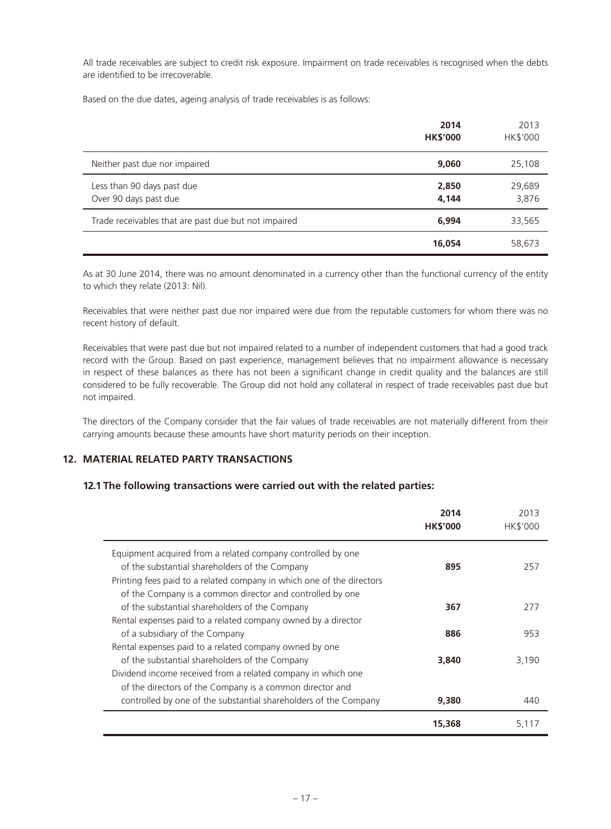All trade receivables are subject to credit risk exposure. Impairment on trade receivables is recognised when the debts are identified to be irrecoverable.

Based on the due dates, ageing analysis of trade receivables is as follows:

|                                                      | 2014<br><b>HK\$'000</b> | 2013<br>HK\$'000 |
|------------------------------------------------------|-------------------------|------------------|
| Neither past due nor impaired                        | 9,060                   | 25,108           |
| Less than 90 days past due<br>Over 90 days past due  | 2,850<br>4,144          | 29,689<br>3,876  |
| Trade receivables that are past due but not impaired | 6,994                   | 33,565           |
|                                                      | 16,054                  | 58,673           |

As at 30 June 2014, there was no amount denominated in a currency other than the functional currency of the entity to which they relate (2013: Nil).

Receivables that were neither past due nor impaired were due from the reputable customers for whom there was no recent history of default.

Receivables that were past due but not impaired related to a number of independent customers that had a good track record with the Group. Based on past experience, management believes that no impairment allowance is necessary in respect of these balances as there has not been a significant change in credit quality and the balances are still considered to be fully recoverable. The Group did not hold any collateral in respect of trade receivables past due but not impaired.

The directors of the Company consider that the fair values of trade receivables are not materially different from their carrying amounts because these amounts have short maturity periods on their inception.

#### **12. MATERIAL RELATED PARTY TRANSACTIONS**

## **12.1 The following transactions were carried out with the related parties:**

|                                                                       | 2014<br><b>HK\$'000</b> | 2013<br><b>HK\$'000</b> |
|-----------------------------------------------------------------------|-------------------------|-------------------------|
| Equipment acquired from a related company controlled by one           |                         |                         |
| of the substantial shareholders of the Company                        | 895                     | 257                     |
| Printing fees paid to a related company in which one of the directors |                         |                         |
| of the Company is a common director and controlled by one             |                         |                         |
| of the substantial shareholders of the Company                        | 367                     | 277                     |
| Rental expenses paid to a related company owned by a director         |                         |                         |
| of a subsidiary of the Company                                        | 886                     | 953                     |
| Rental expenses paid to a related company owned by one                |                         |                         |
| of the substantial shareholders of the Company                        | 3,840                   | 3,190                   |
| Dividend income received from a related company in which one          |                         |                         |
| of the directors of the Company is a common director and              |                         |                         |
| controlled by one of the substantial shareholders of the Company      | 9,380                   | 440                     |
|                                                                       | 15,368                  | 5,117                   |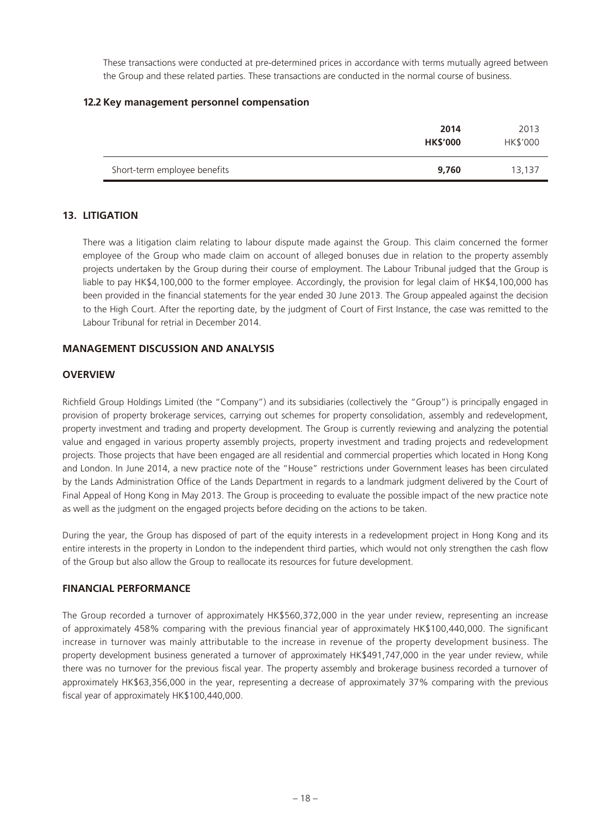These transactions were conducted at pre-determined prices in accordance with terms mutually agreed between the Group and these related parties. These transactions are conducted in the normal course of business.

# **12.2 Key management personnel compensation**

|                              | 2014<br><b>HK\$'000</b> | 2013<br>HK\$'000 |
|------------------------------|-------------------------|------------------|
| Short-term employee benefits | 9,760                   | 13,137           |

# **13. LITIGATION**

There was a litigation claim relating to labour dispute made against the Group. This claim concerned the former employee of the Group who made claim on account of alleged bonuses due in relation to the property assembly projects undertaken by the Group during their course of employment. The Labour Tribunal judged that the Group is liable to pay HK\$4,100,000 to the former employee. Accordingly, the provision for legal claim of HK\$4,100,000 has been provided in the financial statements for the year ended 30 June 2013. The Group appealed against the decision to the High Court. After the reporting date, by the judgment of Court of First Instance, the case was remitted to the Labour Tribunal for retrial in December 2014.

# **MANAGEMENT DISCUSSION AND ANALYSIS**

# **OVERVIEW**

Richfield Group Holdings Limited (the "Company") and its subsidiaries (collectively the "Group") is principally engaged in provision of property brokerage services, carrying out schemes for property consolidation, assembly and redevelopment, property investment and trading and property development. The Group is currently reviewing and analyzing the potential value and engaged in various property assembly projects, property investment and trading projects and redevelopment projects. Those projects that have been engaged are all residential and commercial properties which located in Hong Kong and London. In June 2014, a new practice note of the "House" restrictions under Government leases has been circulated by the Lands Administration Office of the Lands Department in regards to a landmark judgment delivered by the Court of Final Appeal of Hong Kong in May 2013. The Group is proceeding to evaluate the possible impact of the new practice note as well as the judgment on the engaged projects before deciding on the actions to be taken.

During the year, the Group has disposed of part of the equity interests in a redevelopment project in Hong Kong and its entire interests in the property in London to the independent third parties, which would not only strengthen the cash flow of the Group but also allow the Group to reallocate its resources for future development.

#### **FINANCIAL PERFORMANCE**

The Group recorded a turnover of approximately HK\$560,372,000 in the year under review, representing an increase of approximately 458% comparing with the previous financial year of approximately HK\$100,440,000. The significant increase in turnover was mainly attributable to the increase in revenue of the property development business. The property development business generated a turnover of approximately HK\$491,747,000 in the year under review, while there was no turnover for the previous fiscal year. The property assembly and brokerage business recorded a turnover of approximately HK\$63,356,000 in the year, representing a decrease of approximately 37% comparing with the previous fiscal year of approximately HK\$100,440,000.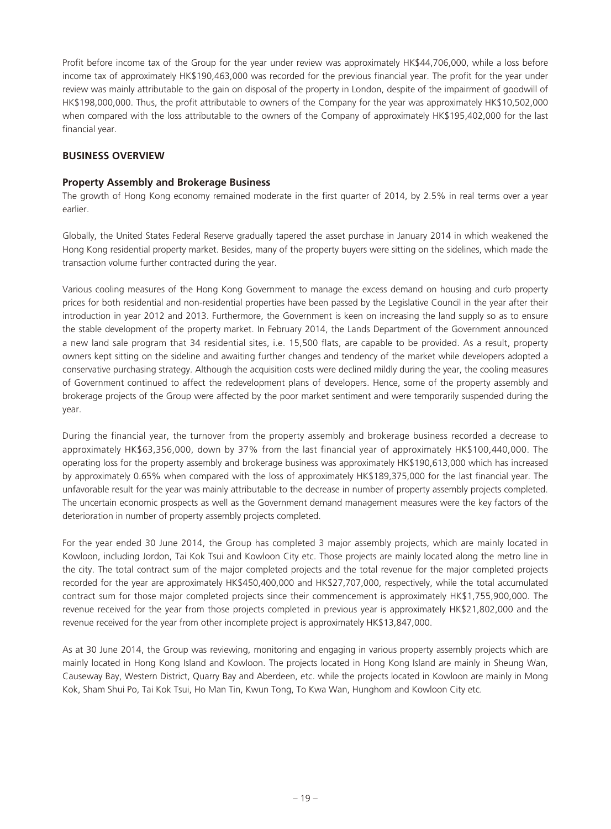Profit before income tax of the Group for the year under review was approximately HK\$44,706,000, while a loss before income tax of approximately HK\$190,463,000 was recorded for the previous financial year. The profit for the year under review was mainly attributable to the gain on disposal of the property in London, despite of the impairment of goodwill of HK\$198,000,000. Thus, the profit attributable to owners of the Company for the year was approximately HK\$10,502,000 when compared with the loss attributable to the owners of the Company of approximately HK\$195,402,000 for the last financial year.

# **BUSINESS OVERVIEW**

## **Property Assembly and Brokerage Business**

The growth of Hong Kong economy remained moderate in the first quarter of 2014, by 2.5% in real terms over a year earlier.

Globally, the United States Federal Reserve gradually tapered the asset purchase in January 2014 in which weakened the Hong Kong residential property market. Besides, many of the property buyers were sitting on the sidelines, which made the transaction volume further contracted during the year.

Various cooling measures of the Hong Kong Government to manage the excess demand on housing and curb property prices for both residential and non-residential properties have been passed by the Legislative Council in the year after their introduction in year 2012 and 2013. Furthermore, the Government is keen on increasing the land supply so as to ensure the stable development of the property market. In February 2014, the Lands Department of the Government announced a new land sale program that 34 residential sites, i.e. 15,500 flats, are capable to be provided. As a result, property owners kept sitting on the sideline and awaiting further changes and tendency of the market while developers adopted a conservative purchasing strategy. Although the acquisition costs were declined mildly during the year, the cooling measures of Government continued to affect the redevelopment plans of developers. Hence, some of the property assembly and brokerage projects of the Group were affected by the poor market sentiment and were temporarily suspended during the year.

During the financial year, the turnover from the property assembly and brokerage business recorded a decrease to approximately HK\$63,356,000, down by 37% from the last financial year of approximately HK\$100,440,000. The operating loss for the property assembly and brokerage business was approximately HK\$190,613,000 which has increased by approximately 0.65% when compared with the loss of approximately HK\$189,375,000 for the last financial year. The unfavorable result for the year was mainly attributable to the decrease in number of property assembly projects completed. The uncertain economic prospects as well as the Government demand management measures were the key factors of the deterioration in number of property assembly projects completed.

For the year ended 30 June 2014, the Group has completed 3 major assembly projects, which are mainly located in Kowloon, including Jordon, Tai Kok Tsui and Kowloon City etc. Those projects are mainly located along the metro line in the city. The total contract sum of the major completed projects and the total revenue for the major completed projects recorded for the year are approximately HK\$450,400,000 and HK\$27,707,000, respectively, while the total accumulated contract sum for those major completed projects since their commencement is approximately HK\$1,755,900,000. The revenue received for the year from those projects completed in previous year is approximately HK\$21,802,000 and the revenue received for the year from other incomplete project is approximately HK\$13,847,000.

As at 30 June 2014, the Group was reviewing, monitoring and engaging in various property assembly projects which are mainly located in Hong Kong Island and Kowloon. The projects located in Hong Kong Island are mainly in Sheung Wan, Causeway Bay, Western District, Quarry Bay and Aberdeen, etc. while the projects located in Kowloon are mainly in Mong Kok, Sham Shui Po, Tai Kok Tsui, Ho Man Tin, Kwun Tong, To Kwa Wan, Hunghom and Kowloon City etc.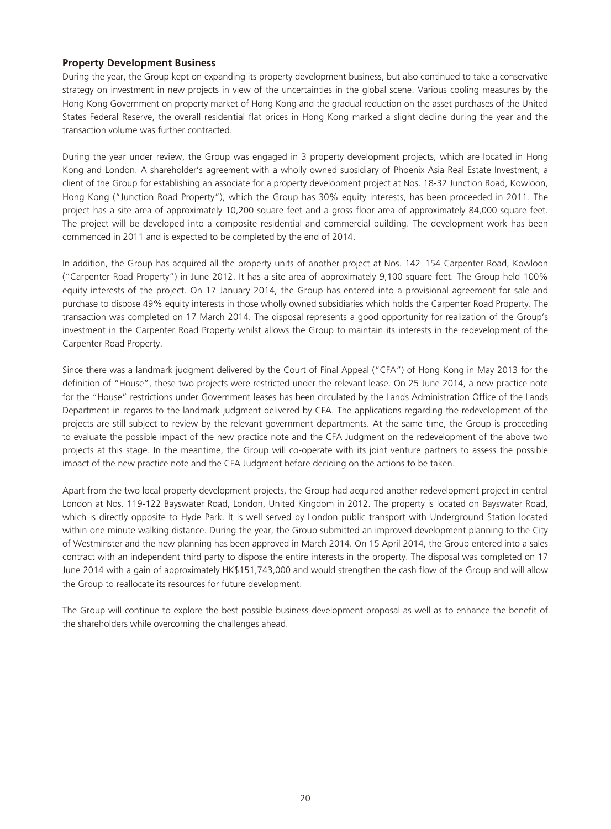# **Property Development Business**

During the year, the Group kept on expanding its property development business, but also continued to take a conservative strategy on investment in new projects in view of the uncertainties in the global scene. Various cooling measures by the Hong Kong Government on property market of Hong Kong and the gradual reduction on the asset purchases of the United States Federal Reserve, the overall residential flat prices in Hong Kong marked a slight decline during the year and the transaction volume was further contracted.

During the year under review, the Group was engaged in 3 property development projects, which are located in Hong Kong and London. A shareholder's agreement with a wholly owned subsidiary of Phoenix Asia Real Estate Investment, a client of the Group for establishing an associate for a property development project at Nos. 18-32 Junction Road, Kowloon, Hong Kong ("Junction Road Property"), which the Group has 30% equity interests, has been proceeded in 2011. The project has a site area of approximately 10,200 square feet and a gross floor area of approximately 84,000 square feet. The project will be developed into a composite residential and commercial building. The development work has been commenced in 2011 and is expected to be completed by the end of 2014.

In addition, the Group has acquired all the property units of another project at Nos. 142–154 Carpenter Road, Kowloon ("Carpenter Road Property") in June 2012. It has a site area of approximately 9,100 square feet. The Group held 100% equity interests of the project. On 17 January 2014, the Group has entered into a provisional agreement for sale and purchase to dispose 49% equity interests in those wholly owned subsidiaries which holds the Carpenter Road Property. The transaction was completed on 17 March 2014. The disposal represents a good opportunity for realization of the Group's investment in the Carpenter Road Property whilst allows the Group to maintain its interests in the redevelopment of the Carpenter Road Property.

Since there was a landmark judgment delivered by the Court of Final Appeal ("CFA") of Hong Kong in May 2013 for the definition of "House", these two projects were restricted under the relevant lease. On 25 June 2014, a new practice note for the "House" restrictions under Government leases has been circulated by the Lands Administration Office of the Lands Department in regards to the landmark judgment delivered by CFA. The applications regarding the redevelopment of the projects are still subject to review by the relevant government departments. At the same time, the Group is proceeding to evaluate the possible impact of the new practice note and the CFA Judgment on the redevelopment of the above two projects at this stage. In the meantime, the Group will co-operate with its joint venture partners to assess the possible impact of the new practice note and the CFA Judgment before deciding on the actions to be taken.

Apart from the two local property development projects, the Group had acquired another redevelopment project in central London at Nos. 119-122 Bayswater Road, London, United Kingdom in 2012. The property is located on Bayswater Road, which is directly opposite to Hyde Park. It is well served by London public transport with Underground Station located within one minute walking distance. During the year, the Group submitted an improved development planning to the City of Westminster and the new planning has been approved in March 2014. On 15 April 2014, the Group entered into a sales contract with an independent third party to dispose the entire interests in the property. The disposal was completed on 17 June 2014 with a gain of approximately HK\$151,743,000 and would strengthen the cash flow of the Group and will allow the Group to reallocate its resources for future development.

The Group will continue to explore the best possible business development proposal as well as to enhance the benefit of the shareholders while overcoming the challenges ahead.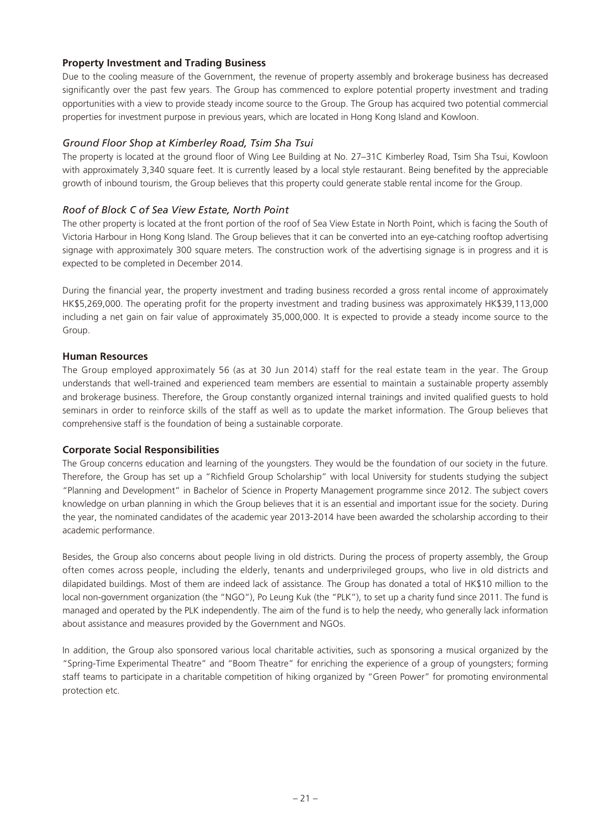## **Property Investment and Trading Business**

Due to the cooling measure of the Government, the revenue of property assembly and brokerage business has decreased significantly over the past few years. The Group has commenced to explore potential property investment and trading opportunities with a view to provide steady income source to the Group. The Group has acquired two potential commercial properties for investment purpose in previous years, which are located in Hong Kong Island and Kowloon.

## *Ground Floor Shop at Kimberley Road, Tsim Sha Tsui*

The property is located at the ground floor of Wing Lee Building at No. 27–31C Kimberley Road, Tsim Sha Tsui, Kowloon with approximately 3,340 square feet. It is currently leased by a local style restaurant. Being benefited by the appreciable growth of inbound tourism, the Group believes that this property could generate stable rental income for the Group.

# *Roof of Block C of Sea View Estate, North Point*

The other property is located at the front portion of the roof of Sea View Estate in North Point, which is facing the South of Victoria Harbour in Hong Kong Island. The Group believes that it can be converted into an eye-catching rooftop advertising signage with approximately 300 square meters. The construction work of the advertising signage is in progress and it is expected to be completed in December 2014.

During the financial year, the property investment and trading business recorded a gross rental income of approximately HK\$5,269,000. The operating profit for the property investment and trading business was approximately HK\$39,113,000 including a net gain on fair value of approximately 35,000,000. It is expected to provide a steady income source to the Group.

#### **Human Resources**

The Group employed approximately 56 (as at 30 Jun 2014) staff for the real estate team in the year. The Group understands that well-trained and experienced team members are essential to maintain a sustainable property assembly and brokerage business. Therefore, the Group constantly organized internal trainings and invited qualified guests to hold seminars in order to reinforce skills of the staff as well as to update the market information. The Group believes that comprehensive staff is the foundation of being a sustainable corporate.

#### **Corporate Social Responsibilities**

The Group concerns education and learning of the youngsters. They would be the foundation of our society in the future. Therefore, the Group has set up a "Richfield Group Scholarship" with local University for students studying the subject "Planning and Development" in Bachelor of Science in Property Management programme since 2012. The subject covers knowledge on urban planning in which the Group believes that it is an essential and important issue for the society. During the year, the nominated candidates of the academic year 2013-2014 have been awarded the scholarship according to their academic performance.

Besides, the Group also concerns about people living in old districts. During the process of property assembly, the Group often comes across people, including the elderly, tenants and underprivileged groups, who live in old districts and dilapidated buildings. Most of them are indeed lack of assistance. The Group has donated a total of HK\$10 million to the local non-government organization (the "NGO"), Po Leung Kuk (the "PLK"), to set up a charity fund since 2011. The fund is managed and operated by the PLK independently. The aim of the fund is to help the needy, who generally lack information about assistance and measures provided by the Government and NGOs.

In addition, the Group also sponsored various local charitable activities, such as sponsoring a musical organized by the "Spring-Time Experimental Theatre" and "Boom Theatre" for enriching the experience of a group of youngsters; forming staff teams to participate in a charitable competition of hiking organized by "Green Power" for promoting environmental protection etc.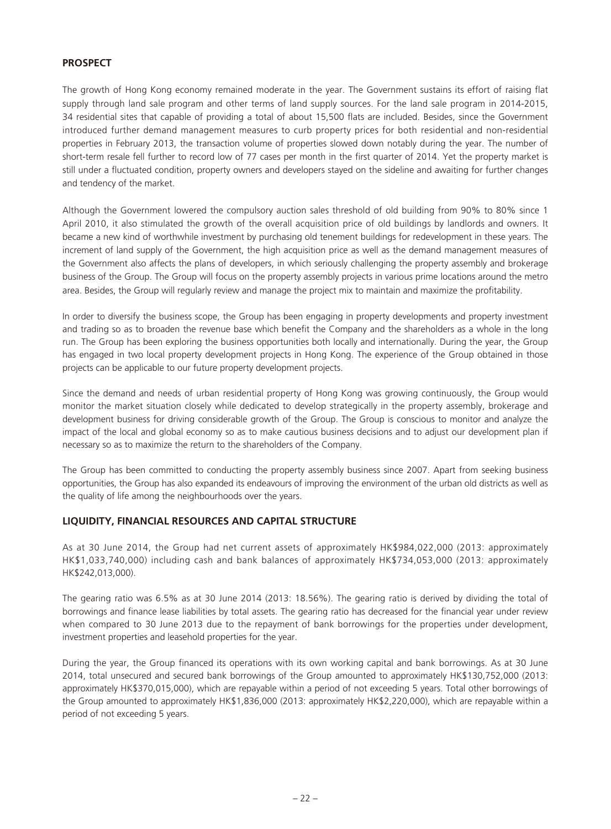# **PROSPECT**

The growth of Hong Kong economy remained moderate in the year. The Government sustains its effort of raising flat supply through land sale program and other terms of land supply sources. For the land sale program in 2014-2015, 34 residential sites that capable of providing a total of about 15,500 flats are included. Besides, since the Government introduced further demand management measures to curb property prices for both residential and non-residential properties in February 2013, the transaction volume of properties slowed down notably during the year. The number of short-term resale fell further to record low of 77 cases per month in the first quarter of 2014. Yet the property market is still under a fluctuated condition, property owners and developers stayed on the sideline and awaiting for further changes and tendency of the market.

Although the Government lowered the compulsory auction sales threshold of old building from 90% to 80% since 1 April 2010, it also stimulated the growth of the overall acquisition price of old buildings by landlords and owners. It became a new kind of worthwhile investment by purchasing old tenement buildings for redevelopment in these years. The increment of land supply of the Government, the high acquisition price as well as the demand management measures of the Government also affects the plans of developers, in which seriously challenging the property assembly and brokerage business of the Group. The Group will focus on the property assembly projects in various prime locations around the metro area. Besides, the Group will regularly review and manage the project mix to maintain and maximize the profitability.

In order to diversify the business scope, the Group has been engaging in property developments and property investment and trading so as to broaden the revenue base which benefit the Company and the shareholders as a whole in the long run. The Group has been exploring the business opportunities both locally and internationally. During the year, the Group has engaged in two local property development projects in Hong Kong. The experience of the Group obtained in those projects can be applicable to our future property development projects.

Since the demand and needs of urban residential property of Hong Kong was growing continuously, the Group would monitor the market situation closely while dedicated to develop strategically in the property assembly, brokerage and development business for driving considerable growth of the Group. The Group is conscious to monitor and analyze the impact of the local and global economy so as to make cautious business decisions and to adjust our development plan if necessary so as to maximize the return to the shareholders of the Company.

The Group has been committed to conducting the property assembly business since 2007. Apart from seeking business opportunities, the Group has also expanded its endeavours of improving the environment of the urban old districts as well as the quality of life among the neighbourhoods over the years.

#### **LIQUIDITY, FINANCIAL RESOURCES AND CAPITAL STRUCTURE**

As at 30 June 2014, the Group had net current assets of approximately HK\$984,022,000 (2013: approximately HK\$1,033,740,000) including cash and bank balances of approximately HK\$734,053,000 (2013: approximately HK\$242,013,000).

The gearing ratio was 6.5% as at 30 June 2014 (2013: 18.56%). The gearing ratio is derived by dividing the total of borrowings and finance lease liabilities by total assets. The gearing ratio has decreased for the financial year under review when compared to 30 June 2013 due to the repayment of bank borrowings for the properties under development, investment properties and leasehold properties for the year.

During the year, the Group financed its operations with its own working capital and bank borrowings. As at 30 June 2014, total unsecured and secured bank borrowings of the Group amounted to approximately HK\$130,752,000 (2013: approximately HK\$370,015,000), which are repayable within a period of not exceeding 5 years. Total other borrowings of the Group amounted to approximately HK\$1,836,000 (2013: approximately HK\$2,220,000), which are repayable within a period of not exceeding 5 years.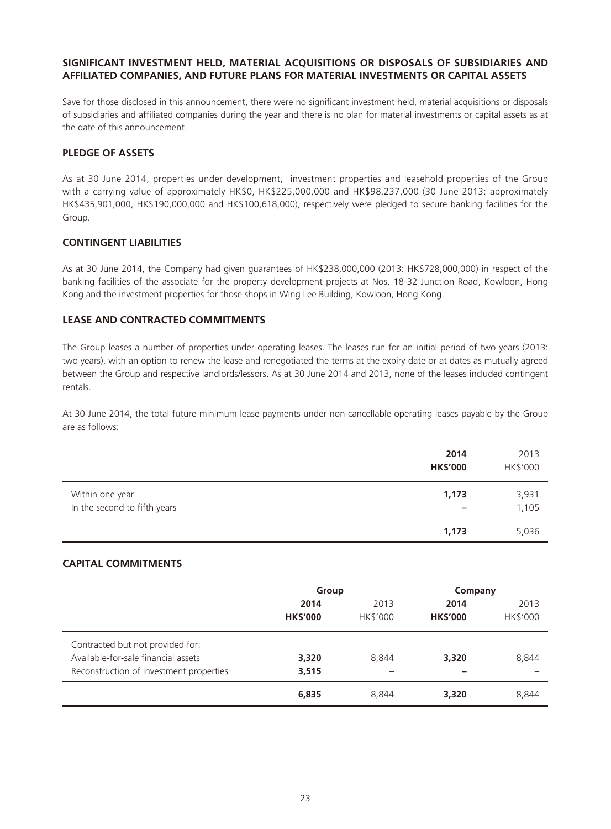### **SIGNIFICANT INVESTMENT HELD, MATERIAL ACQUISITIONS OR DISPOSALS OF SUBSIDIARIES AND AFFILIATED COMPANIES, AND FUTURE PLANS FOR MATERIAL INVESTMENTS OR CAPITAL ASSETS**

Save for those disclosed in this announcement, there were no significant investment held, material acquisitions or disposals of subsidiaries and affiliated companies during the year and there is no plan for material investments or capital assets as at the date of this announcement.

# **PLEDGE OF ASSETS**

As at 30 June 2014, properties under development, investment properties and leasehold properties of the Group with a carrying value of approximately HK\$0, HK\$225,000,000 and HK\$98,237,000 (30 June 2013: approximately HK\$435,901,000, HK\$190,000,000 and HK\$100,618,000), respectively were pledged to secure banking facilities for the Group.

#### **CONTINGENT LIABILITIES**

As at 30 June 2014, the Company had given guarantees of HK\$238,000,000 (2013: HK\$728,000,000) in respect of the banking facilities of the associate for the property development projects at Nos. 18-32 Junction Road, Kowloon, Hong Kong and the investment properties for those shops in Wing Lee Building, Kowloon, Hong Kong.

# **LEASE AND CONTRACTED COMMITMENTS**

The Group leases a number of properties under operating leases. The leases run for an initial period of two years (2013: two years), with an option to renew the lease and renegotiated the terms at the expiry date or at dates as mutually agreed between the Group and respective landlords/lessors. As at 30 June 2014 and 2013, none of the leases included contingent rentals.

At 30 June 2014, the total future minimum lease payments under non-cancellable operating leases payable by the Group are as follows:

|                              | 2014<br><b>HK\$'000</b>  | 2013<br>HK\$'000 |
|------------------------------|--------------------------|------------------|
| Within one year              | 1,173                    | 3,931            |
| In the second to fifth years | $\overline{\phantom{0}}$ | 1,105            |
|                              | 1,173                    | 5,036            |

# **CAPITAL COMMITMENTS**

|                                         | Group           |          | Company         |                 |
|-----------------------------------------|-----------------|----------|-----------------|-----------------|
|                                         | 2014            | 2013     | 2014            | 2013            |
|                                         | <b>HK\$'000</b> | HK\$'000 | <b>HK\$'000</b> | <b>HK\$'000</b> |
| Contracted but not provided for:        |                 |          |                 |                 |
| Available-for-sale financial assets     | 3,320           | 8,844    | 3,320           | 8,844           |
| Reconstruction of investment properties | 3,515           |          |                 |                 |
|                                         | 6,835           | 8,844    | 3,320           | 8,844           |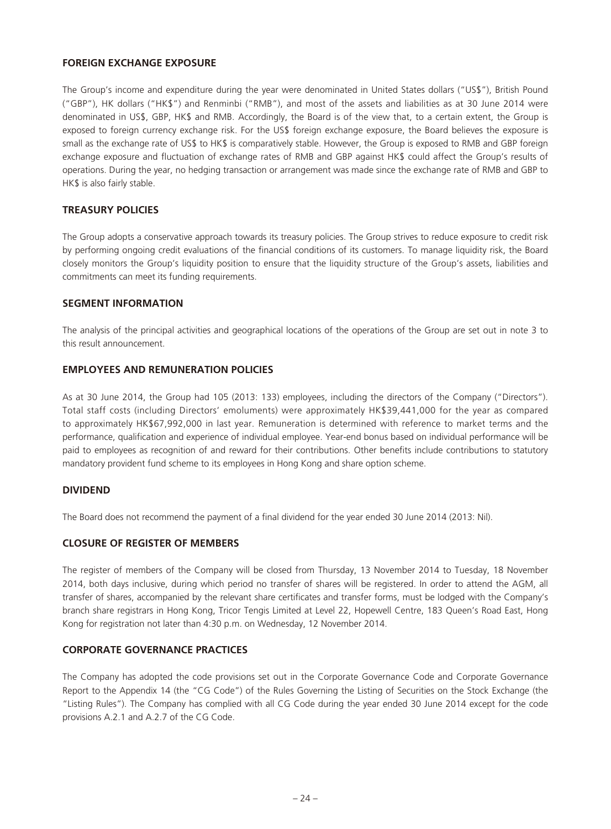## **FOREIGN EXCHANGE EXPOSURE**

The Group's income and expenditure during the year were denominated in United States dollars ("US\$"), British Pound ("GBP"), HK dollars ("HK\$") and Renminbi ("RMB"), and most of the assets and liabilities as at 30 June 2014 were denominated in US\$, GBP, HK\$ and RMB. Accordingly, the Board is of the view that, to a certain extent, the Group is exposed to foreign currency exchange risk. For the US\$ foreign exchange exposure, the Board believes the exposure is small as the exchange rate of US\$ to HK\$ is comparatively stable. However, the Group is exposed to RMB and GBP foreign exchange exposure and fluctuation of exchange rates of RMB and GBP against HK\$ could affect the Group's results of operations. During the year, no hedging transaction or arrangement was made since the exchange rate of RMB and GBP to HK\$ is also fairly stable.

# **TREASURY POLICIES**

The Group adopts a conservative approach towards its treasury policies. The Group strives to reduce exposure to credit risk by performing ongoing credit evaluations of the financial conditions of its customers. To manage liquidity risk, the Board closely monitors the Group's liquidity position to ensure that the liquidity structure of the Group's assets, liabilities and commitments can meet its funding requirements.

#### **SEGMENT INFORMATION**

The analysis of the principal activities and geographical locations of the operations of the Group are set out in note 3 to this result announcement.

#### **EMPLOYEES AND REMUNERATION POLICIES**

As at 30 June 2014, the Group had 105 (2013: 133) employees, including the directors of the Company ("Directors"). Total staff costs (including Directors' emoluments) were approximately HK\$39,441,000 for the year as compared to approximately HK\$67,992,000 in last year. Remuneration is determined with reference to market terms and the performance, qualification and experience of individual employee. Year-end bonus based on individual performance will be paid to employees as recognition of and reward for their contributions. Other benefits include contributions to statutory mandatory provident fund scheme to its employees in Hong Kong and share option scheme.

# **DIVIDEND**

The Board does not recommend the payment of a final dividend for the year ended 30 June 2014 (2013: Nil).

# **CLOSURE OF REGISTER OF MEMBERS**

The register of members of the Company will be closed from Thursday, 13 November 2014 to Tuesday, 18 November 2014, both days inclusive, during which period no transfer of shares will be registered. In order to attend the AGM, all transfer of shares, accompanied by the relevant share certificates and transfer forms, must be lodged with the Company's branch share registrars in Hong Kong, Tricor Tengis Limited at Level 22, Hopewell Centre, 183 Queen's Road East, Hong Kong for registration not later than 4:30 p.m. on Wednesday, 12 November 2014.

#### **CORPORATE GOVERNANCE PRACTICES**

The Company has adopted the code provisions set out in the Corporate Governance Code and Corporate Governance Report to the Appendix 14 (the "CG Code") of the Rules Governing the Listing of Securities on the Stock Exchange (the "Listing Rules"). The Company has complied with all CG Code during the year ended 30 June 2014 except for the code provisions A.2.1 and A.2.7 of the CG Code.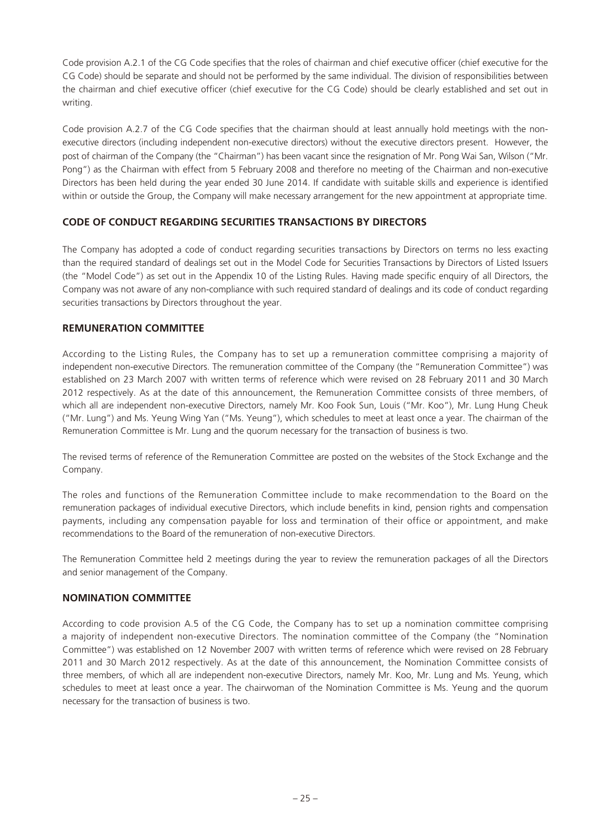Code provision A.2.1 of the CG Code specifies that the roles of chairman and chief executive officer (chief executive for the CG Code) should be separate and should not be performed by the same individual. The division of responsibilities between the chairman and chief executive officer (chief executive for the CG Code) should be clearly established and set out in writing.

Code provision A.2.7 of the CG Code specifies that the chairman should at least annually hold meetings with the nonexecutive directors (including independent non-executive directors) without the executive directors present. However, the post of chairman of the Company (the "Chairman") has been vacant since the resignation of Mr. Pong Wai San, Wilson ("Mr. Pong") as the Chairman with effect from 5 February 2008 and therefore no meeting of the Chairman and non-executive Directors has been held during the year ended 30 June 2014. If candidate with suitable skills and experience is identified within or outside the Group, the Company will make necessary arrangement for the new appointment at appropriate time.

# **CODE OF CONDUCT REGARDING SECURITIES TRANSACTIONS BY DIRECTORS**

The Company has adopted a code of conduct regarding securities transactions by Directors on terms no less exacting than the required standard of dealings set out in the Model Code for Securities Transactions by Directors of Listed Issuers (the "Model Code") as set out in the Appendix 10 of the Listing Rules. Having made specific enquiry of all Directors, the Company was not aware of any non-compliance with such required standard of dealings and its code of conduct regarding securities transactions by Directors throughout the year.

# **REMUNERATION COMMITTEE**

According to the Listing Rules, the Company has to set up a remuneration committee comprising a majority of independent non-executive Directors. The remuneration committee of the Company (the "Remuneration Committee") was established on 23 March 2007 with written terms of reference which were revised on 28 February 2011 and 30 March 2012 respectively. As at the date of this announcement, the Remuneration Committee consists of three members, of which all are independent non-executive Directors, namely Mr. Koo Fook Sun, Louis ("Mr. Koo"), Mr. Lung Hung Cheuk ("Mr. Lung") and Ms. Yeung Wing Yan ("Ms. Yeung"), which schedules to meet at least once a year. The chairman of the Remuneration Committee is Mr. Lung and the quorum necessary for the transaction of business is two.

The revised terms of reference of the Remuneration Committee are posted on the websites of the Stock Exchange and the Company.

The roles and functions of the Remuneration Committee include to make recommendation to the Board on the remuneration packages of individual executive Directors, which include benefits in kind, pension rights and compensation payments, including any compensation payable for loss and termination of their office or appointment, and make recommendations to the Board of the remuneration of non-executive Directors.

The Remuneration Committee held 2 meetings during the year to review the remuneration packages of all the Directors and senior management of the Company.

# **NOMINATION COMMITTEE**

According to code provision A.5 of the CG Code, the Company has to set up a nomination committee comprising a majority of independent non-executive Directors. The nomination committee of the Company (the "Nomination Committee") was established on 12 November 2007 with written terms of reference which were revised on 28 February 2011 and 30 March 2012 respectively. As at the date of this announcement, the Nomination Committee consists of three members, of which all are independent non-executive Directors, namely Mr. Koo, Mr. Lung and Ms. Yeung, which schedules to meet at least once a year. The chairwoman of the Nomination Committee is Ms. Yeung and the quorum necessary for the transaction of business is two.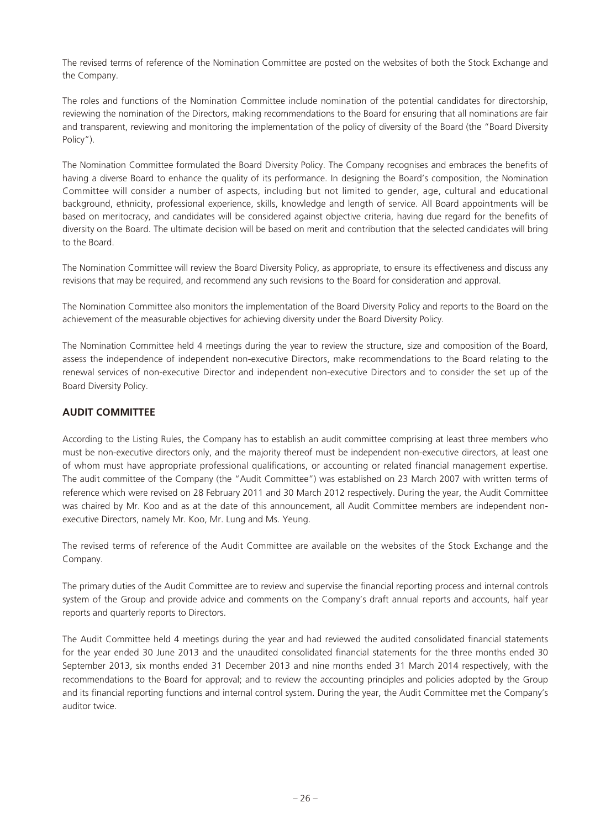The revised terms of reference of the Nomination Committee are posted on the websites of both the Stock Exchange and the Company.

The roles and functions of the Nomination Committee include nomination of the potential candidates for directorship, reviewing the nomination of the Directors, making recommendations to the Board for ensuring that all nominations are fair and transparent, reviewing and monitoring the implementation of the policy of diversity of the Board (the "Board Diversity Policy").

The Nomination Committee formulated the Board Diversity Policy. The Company recognises and embraces the benefits of having a diverse Board to enhance the quality of its performance. In designing the Board's composition, the Nomination Committee will consider a number of aspects, including but not limited to gender, age, cultural and educational background, ethnicity, professional experience, skills, knowledge and length of service. All Board appointments will be based on meritocracy, and candidates will be considered against objective criteria, having due regard for the benefits of diversity on the Board. The ultimate decision will be based on merit and contribution that the selected candidates will bring to the Board.

The Nomination Committee will review the Board Diversity Policy, as appropriate, to ensure its effectiveness and discuss any revisions that may be required, and recommend any such revisions to the Board for consideration and approval.

The Nomination Committee also monitors the implementation of the Board Diversity Policy and reports to the Board on the achievement of the measurable objectives for achieving diversity under the Board Diversity Policy.

The Nomination Committee held 4 meetings during the year to review the structure, size and composition of the Board, assess the independence of independent non-executive Directors, make recommendations to the Board relating to the renewal services of non-executive Director and independent non-executive Directors and to consider the set up of the Board Diversity Policy.

# **AUDIT COMMITTEE**

According to the Listing Rules, the Company has to establish an audit committee comprising at least three members who must be non-executive directors only, and the majority thereof must be independent non-executive directors, at least one of whom must have appropriate professional qualifications, or accounting or related financial management expertise. The audit committee of the Company (the "Audit Committee") was established on 23 March 2007 with written terms of reference which were revised on 28 February 2011 and 30 March 2012 respectively. During the year, the Audit Committee was chaired by Mr. Koo and as at the date of this announcement, all Audit Committee members are independent nonexecutive Directors, namely Mr. Koo, Mr. Lung and Ms. Yeung.

The revised terms of reference of the Audit Committee are available on the websites of the Stock Exchange and the Company.

The primary duties of the Audit Committee are to review and supervise the financial reporting process and internal controls system of the Group and provide advice and comments on the Company's draft annual reports and accounts, half year reports and quarterly reports to Directors.

The Audit Committee held 4 meetings during the year and had reviewed the audited consolidated financial statements for the year ended 30 June 2013 and the unaudited consolidated financial statements for the three months ended 30 September 2013, six months ended 31 December 2013 and nine months ended 31 March 2014 respectively, with the recommendations to the Board for approval; and to review the accounting principles and policies adopted by the Group and its financial reporting functions and internal control system. During the year, the Audit Committee met the Company's auditor twice.